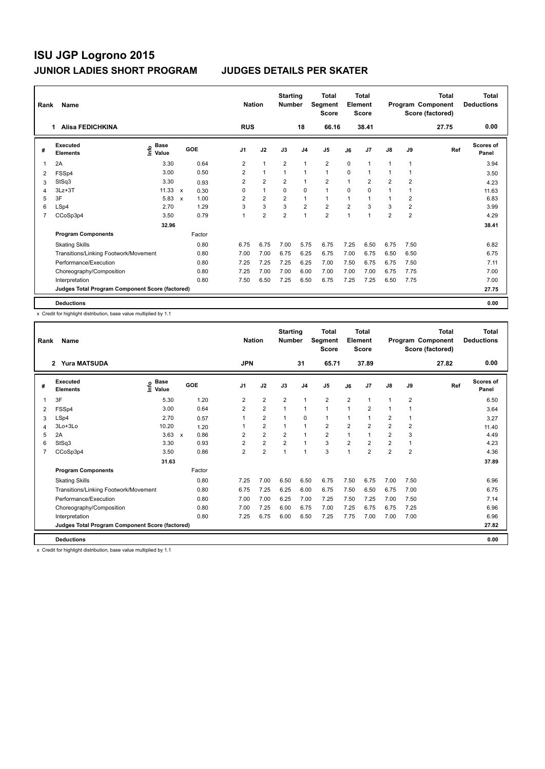| Rank           | Name                                            |                                  |                           |        |                | <b>Nation</b>  | <b>Starting</b><br><b>Number</b> |                | <b>Total</b><br>Segment<br><b>Score</b> |                | <b>Total</b><br>Element<br><b>Score</b> |                |                | <b>Total</b><br>Program Component<br>Score (factored) | <b>Total</b><br><b>Deductions</b> |
|----------------|-------------------------------------------------|----------------------------------|---------------------------|--------|----------------|----------------|----------------------------------|----------------|-----------------------------------------|----------------|-----------------------------------------|----------------|----------------|-------------------------------------------------------|-----------------------------------|
|                | <b>Alisa FEDICHKINA</b><br>1.                   |                                  |                           |        | <b>RUS</b>     |                |                                  | 18             | 66.16                                   |                | 38.41                                   |                |                | 27.75                                                 | 0.00                              |
| #              | Executed<br><b>Elements</b>                     | <b>Base</b><br>e Base<br>⊆ Value |                           | GOE    | J <sub>1</sub> | J2             | J3                               | J <sub>4</sub> | J <sub>5</sub>                          | J6             | J7                                      | $\mathsf{J}8$  | J9             | Ref                                                   | Scores of<br>Panel                |
| 1              | 2A                                              | 3.30                             |                           | 0.64   | 2              | $\overline{1}$ | $\overline{2}$                   | $\mathbf{1}$   | $\overline{2}$                          | $\mathbf 0$    | 1                                       | 1              | 1              |                                                       | 3.94                              |
| 2              | FSSp4                                           | 3.00                             |                           | 0.50   | $\overline{2}$ | $\overline{1}$ | $\overline{1}$                   | $\overline{1}$ | $\mathbf{1}$                            | $\Omega$       | 1                                       | 1              |                |                                                       | 3.50                              |
| 3              | StSq3                                           | 3.30                             |                           | 0.93   | 2              | $\overline{2}$ | $\overline{2}$                   | $\overline{1}$ | $\overline{2}$                          | $\mathbf 1$    | 2                                       | $\overline{2}$ | 2              |                                                       | 4.23                              |
| 4              | $3Lz + 3T$                                      | 11.33                            | $\boldsymbol{\mathsf{x}}$ | 0.30   | 0              | $\mathbf{1}$   | $\mathbf 0$                      | $\mathbf 0$    | $\mathbf{1}$                            | $\Omega$       | $\Omega$                                | 1              |                |                                                       | 11.63                             |
| 5              | 3F                                              | 5.83                             | $\boldsymbol{\mathsf{x}}$ | 1.00   | $\overline{2}$ | $\overline{2}$ | $\overline{2}$                   | $\overline{1}$ | $\mathbf{1}$                            | $\mathbf 1$    | 1                                       | 1              | 2              |                                                       | 6.83                              |
| 6              | LSp4                                            | 2.70                             |                           | 1.29   | 3              | 3              | 3                                | $\overline{2}$ | $\overline{2}$                          | $\overline{2}$ | 3                                       | 3              | 2              |                                                       | 3.99                              |
| $\overline{7}$ | CCoSp3p4                                        | 3.50                             |                           | 0.79   | 1              | $\overline{2}$ | $\overline{2}$                   | $\mathbf{1}$   | $\overline{2}$                          | $\mathbf{1}$   | 1                                       | $\overline{2}$ | $\overline{2}$ |                                                       | 4.29                              |
|                |                                                 | 32.96                            |                           |        |                |                |                                  |                |                                         |                |                                         |                |                |                                                       | 38.41                             |
|                | <b>Program Components</b>                       |                                  |                           | Factor |                |                |                                  |                |                                         |                |                                         |                |                |                                                       |                                   |
|                | <b>Skating Skills</b>                           |                                  |                           | 0.80   | 6.75           | 6.75           | 7.00                             | 5.75           | 6.75                                    | 7.25           | 6.50                                    | 6.75           | 7.50           |                                                       | 6.82                              |
|                | Transitions/Linking Footwork/Movement           |                                  |                           | 0.80   | 7.00           | 7.00           | 6.75                             | 6.25           | 6.75                                    | 7.00           | 6.75                                    | 6.50           | 6.50           |                                                       | 6.75                              |
|                | Performance/Execution                           |                                  |                           | 0.80   | 7.25           | 7.25           | 7.25                             | 6.25           | 7.00                                    | 7.50           | 6.75                                    | 6.75           | 7.50           |                                                       | 7.11                              |
|                | Choreography/Composition                        |                                  |                           | 0.80   | 7.25           | 7.00           | 7.00                             | 6.00           | 7.00                                    | 7.00           | 7.00                                    | 6.75           | 7.75           |                                                       | 7.00                              |
|                | Interpretation                                  |                                  |                           | 0.80   | 7.50           | 6.50           | 7.25                             | 6.50           | 6.75                                    | 7.25           | 7.25                                    | 6.50           | 7.75           |                                                       | 7.00                              |
|                | Judges Total Program Component Score (factored) |                                  |                           |        |                |                |                                  |                |                                         |                |                                         |                |                |                                                       | 27.75                             |
|                | <b>Deductions</b>                               |                                  |                           |        |                |                |                                  |                |                                         |                |                                         |                |                |                                                       | 0.00                              |

x Credit for highlight distribution, base value multiplied by 1.1

| Rank | Name                                            | <b>Nation</b>                    |        | <b>Starting</b><br><b>Number</b> |                         | <b>Total</b><br>Segment<br><b>Score</b> |                | <b>Total</b><br>Element<br><b>Score</b> |                |                | <b>Total</b><br>Program Component<br>Score (factored) | <b>Total</b><br><b>Deductions</b> |       |                    |
|------|-------------------------------------------------|----------------------------------|--------|----------------------------------|-------------------------|-----------------------------------------|----------------|-----------------------------------------|----------------|----------------|-------------------------------------------------------|-----------------------------------|-------|--------------------|
|      | <b>Yura MATSUDA</b><br>$\overline{2}$           |                                  |        | <b>JPN</b>                       |                         |                                         | 31             | 65.71                                   |                | 37.89          |                                                       |                                   | 27.82 | 0.00               |
| #    | Executed<br><b>Elements</b>                     | <b>Base</b><br>o Base<br>⊆ Value | GOE    | J <sub>1</sub>                   | J2                      | J3                                      | J <sub>4</sub> | J <sub>5</sub>                          | J6             | J7             | J8                                                    | J9                                | Ref   | Scores of<br>Panel |
| 1    | 3F                                              | 5.30                             | 1.20   | 2                                | $\overline{2}$          | $\overline{2}$                          | $\mathbf{1}$   | $\overline{2}$                          | $\overline{2}$ | $\overline{1}$ | 1                                                     | $\overline{2}$                    |       | 6.50               |
| 2    | FSSp4                                           | 3.00                             | 0.64   | $\overline{2}$                   | $\overline{2}$          | $\mathbf{1}$                            | $\mathbf{1}$   | $\mathbf{1}$                            | $\overline{1}$ | $\overline{2}$ | 1                                                     | 1                                 |       | 3.64               |
| 3    | LSp4                                            | 2.70                             | 0.57   | 1                                | 2                       | 1                                       | 0              | 1                                       | 1              | 1              | 2                                                     | 1                                 |       | 3.27               |
| 4    | 3Lo+3Lo                                         | 10.20                            | 1.20   |                                  | $\overline{2}$          | 1                                       | $\mathbf{1}$   | $\overline{2}$                          | $\overline{2}$ | $\overline{2}$ | $\overline{2}$                                        | $\overline{2}$                    |       | 11.40              |
| 5    | 2A                                              | $3.63 \times$                    | 0.86   | $\overline{2}$                   | $\overline{2}$          | $\overline{2}$                          | $\mathbf{1}$   | $\overline{2}$                          | $\overline{1}$ | $\overline{1}$ | $\overline{2}$                                        | 3                                 |       | 4.49               |
| 6    | StSq3                                           | 3.30                             | 0.93   | $\overline{2}$                   | $\overline{2}$          | $\overline{2}$                          | $\mathbf{1}$   | 3                                       | $\overline{2}$ | $\overline{2}$ | $\overline{2}$                                        | 1                                 |       | 4.23               |
| 7    | CCoSp3p4                                        | 3.50                             | 0.86   | $\overline{2}$                   | $\overline{\mathbf{c}}$ | $\overline{1}$                          | $\mathbf{1}$   | 3                                       | 1              | $\overline{2}$ | 2                                                     | $\overline{2}$                    |       | 4.36               |
|      |                                                 | 31.63                            |        |                                  |                         |                                         |                |                                         |                |                |                                                       |                                   |       | 37.89              |
|      | <b>Program Components</b>                       |                                  | Factor |                                  |                         |                                         |                |                                         |                |                |                                                       |                                   |       |                    |
|      | <b>Skating Skills</b>                           |                                  | 0.80   | 7.25                             | 7.00                    | 6.50                                    | 6.50           | 6.75                                    | 7.50           | 6.75           | 7.00                                                  | 7.50                              |       | 6.96               |
|      | Transitions/Linking Footwork/Movement           |                                  | 0.80   | 6.75                             | 7.25                    | 6.25                                    | 6.00           | 6.75                                    | 7.50           | 6.50           | 6.75                                                  | 7.00                              |       | 6.75               |
|      | Performance/Execution                           |                                  | 0.80   | 7.00                             | 7.00                    | 6.25                                    | 7.00           | 7.25                                    | 7.50           | 7.25           | 7.00                                                  | 7.50                              |       | 7.14               |
|      | Choreography/Composition                        |                                  | 0.80   | 7.00                             | 7.25                    | 6.00                                    | 6.75           | 7.00                                    | 7.25           | 6.75           | 6.75                                                  | 7.25                              |       | 6.96               |
|      | Interpretation                                  |                                  | 0.80   | 7.25                             | 6.75                    | 6.00                                    | 6.50           | 7.25                                    | 7.75           | 7.00           | 7.00                                                  | 7.00                              |       | 6.96               |
|      | Judges Total Program Component Score (factored) |                                  |        |                                  |                         |                                         |                |                                         |                |                |                                                       |                                   |       | 27.82              |
|      | <b>Deductions</b>                               |                                  |        |                                  |                         |                                         |                |                                         |                |                |                                                       |                                   |       | 0.00               |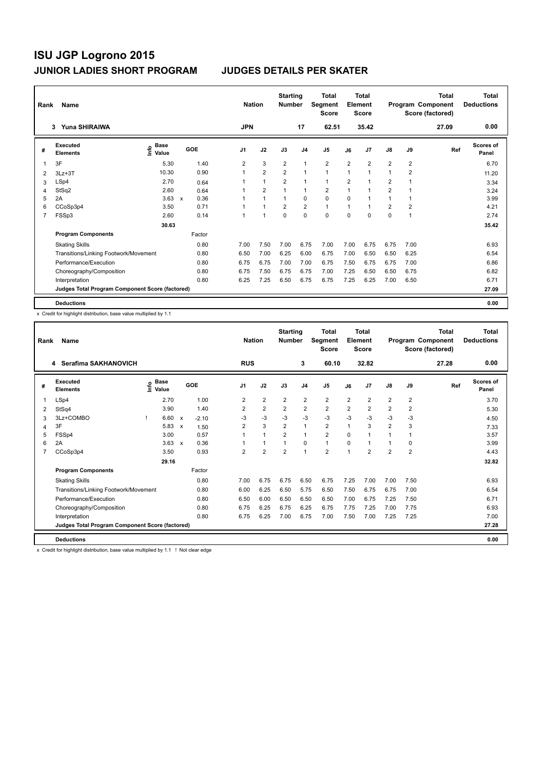| Rank           | Name                                            |                                  | <b>Nation</b>        | <b>Starting</b><br><b>Number</b> |                | <b>Total</b><br>Segment<br><b>Score</b> |                | <b>Total</b><br>Element<br><b>Score</b> |                |                | <b>Total</b><br>Program Component<br>Score (factored) | <b>Total</b><br><b>Deductions</b> |       |                    |
|----------------|-------------------------------------------------|----------------------------------|----------------------|----------------------------------|----------------|-----------------------------------------|----------------|-----------------------------------------|----------------|----------------|-------------------------------------------------------|-----------------------------------|-------|--------------------|
|                | Yuna SHIRAIWA<br>3                              |                                  |                      | <b>JPN</b>                       |                |                                         | 17             | 62.51                                   |                | 35.42          |                                                       |                                   | 27.09 | 0.00               |
| #              | Executed<br><b>Elements</b>                     | <b>Base</b><br>e Base<br>⊆ Value | GOE                  | J <sub>1</sub>                   | J2             | J3                                      | J <sub>4</sub> | J <sub>5</sub>                          | J6             | J7             | $\mathsf{J}8$                                         | J9                                | Ref   | Scores of<br>Panel |
| 1              | 3F                                              | 5.30                             | 1.40                 | 2                                | 3              | $\overline{2}$                          | $\mathbf{1}$   | $\overline{2}$                          | $\overline{2}$ | $\overline{2}$ | $\overline{2}$                                        | $\overline{2}$                    |       | 6.70               |
| 2              | $3Lz + 3T$                                      | 10.30                            | 0.90                 |                                  | $\overline{2}$ | $\overline{2}$                          | $\overline{1}$ | $\mathbf{1}$                            | $\mathbf{1}$   | 1              | 1                                                     | $\overline{2}$                    |       | 11.20              |
| 3              | LSp4                                            | 2.70                             | 0.64                 |                                  | $\overline{1}$ | $\overline{2}$                          | $\overline{1}$ | $\mathbf{1}$                            | $\overline{2}$ |                | $\overline{2}$                                        |                                   |       | 3.34               |
| 4              | StSq2                                           | 2.60                             | 0.64                 |                                  | $\overline{2}$ |                                         | 1              | $\overline{2}$                          | 1              | 1              | $\overline{2}$                                        |                                   |       | 3.24               |
| 5              | 2A                                              | 3.63                             | 0.36<br>$\mathbf{x}$ |                                  | $\overline{1}$ | $\overline{1}$                          | $\mathbf 0$    | $\mathbf 0$                             | $\Omega$       |                | 1                                                     |                                   |       | 3.99               |
| 6              | CCoSp3p4                                        | 3.50                             | 0.71                 |                                  | $\overline{1}$ | $\overline{2}$                          | $\overline{2}$ | $\mathbf{1}$                            | $\mathbf{1}$   | 1              | $\overline{2}$                                        | $\overline{\mathbf{c}}$           |       | 4.21               |
| $\overline{7}$ | FSSp3                                           | 2.60                             | 0.14                 | 1                                | $\overline{1}$ | $\mathbf 0$                             | $\mathbf 0$    | 0                                       | $\Omega$       | $\Omega$       | 0                                                     | 1                                 |       | 2.74               |
|                |                                                 | 30.63                            |                      |                                  |                |                                         |                |                                         |                |                |                                                       |                                   |       | 35.42              |
|                | <b>Program Components</b>                       |                                  | Factor               |                                  |                |                                         |                |                                         |                |                |                                                       |                                   |       |                    |
|                | <b>Skating Skills</b>                           |                                  | 0.80                 | 7.00                             | 7.50           | 7.00                                    | 6.75           | 7.00                                    | 7.00           | 6.75           | 6.75                                                  | 7.00                              |       | 6.93               |
|                | Transitions/Linking Footwork/Movement           |                                  | 0.80                 | 6.50                             | 7.00           | 6.25                                    | 6.00           | 6.75                                    | 7.00           | 6.50           | 6.50                                                  | 6.25                              |       | 6.54               |
|                | Performance/Execution                           |                                  | 0.80                 | 6.75                             | 6.75           | 7.00                                    | 7.00           | 6.75                                    | 7.50           | 6.75           | 6.75                                                  | 7.00                              |       | 6.86               |
|                | Choreography/Composition                        |                                  | 0.80                 | 6.75                             | 7.50           | 6.75                                    | 6.75           | 7.00                                    | 7.25           | 6.50           | 6.50                                                  | 6.75                              |       | 6.82               |
|                | Interpretation                                  |                                  | 0.80                 | 6.25                             | 7.25           | 6.50                                    | 6.75           | 6.75                                    | 7.25           | 6.25           | 7.00                                                  | 6.50                              |       | 6.71               |
|                | Judges Total Program Component Score (factored) |                                  |                      |                                  |                |                                         |                |                                         |                |                |                                                       |                                   |       | 27.09              |
|                | <b>Deductions</b>                               |                                  |                      |                                  |                |                                         |                |                                         |                |                |                                                       |                                   |       | 0.00               |

x Credit for highlight distribution, base value multiplied by 1.1

| Rank | Name<br>Serafima SAKHANOVICH<br>4               |      |                      |                           |         |                | <b>Nation</b>        | <b>Starting</b><br><b>Number</b> |                | <b>Total</b><br>Segment<br><b>Score</b> |                | <b>Total</b><br>Element<br><b>Score</b> |                |                | <b>Total</b><br>Program Component<br>Score (factored) | <b>Total</b><br><b>Deductions</b> |
|------|-------------------------------------------------|------|----------------------|---------------------------|---------|----------------|----------------------|----------------------------------|----------------|-----------------------------------------|----------------|-----------------------------------------|----------------|----------------|-------------------------------------------------------|-----------------------------------|
|      |                                                 |      |                      |                           |         | <b>RUS</b>     |                      |                                  | 3              | 60.10                                   |                | 32.82                                   |                |                | 27.28                                                 | 0.00                              |
| #    | Executed<br><b>Elements</b>                     | lnfo | <b>Base</b><br>Value |                           | GOE     | J1             | J2                   | J3                               | J <sub>4</sub> | J5                                      | J6             | J7                                      | J8             | J9             | Ref                                                   | Scores of<br>Panel                |
| 1    | LSp4                                            |      | 2.70                 |                           | 1.00    | $\overline{2}$ | $\overline{2}$       | $\overline{2}$                   | $\overline{2}$ | $\overline{2}$                          | $\overline{2}$ | $\overline{2}$                          | $\overline{2}$ | $\overline{2}$ |                                                       | 3.70                              |
| 2    | StSq4                                           |      | 3.90                 |                           | 1.40    | $\overline{2}$ | $\overline{2}$       | $\overline{2}$                   | $\overline{2}$ | $\overline{2}$                          | $\overline{2}$ | $\overline{2}$                          | $\overline{2}$ | $\overline{2}$ |                                                       | 5.30                              |
| 3    | 3Lz+COMBO                                       |      | 6.60                 | $\mathsf{x}$              | $-2.10$ | $-3$           | $-3$                 | $-3$                             | $-3$           | $-3$                                    | $-3$           | $-3$                                    | $-3$           | $-3$           |                                                       | 4.50                              |
| 4    | 3F                                              |      | 5.83                 | $\boldsymbol{\mathsf{x}}$ | 1.50    | $\overline{2}$ | 3                    | $\overline{2}$                   | $\mathbf{1}$   | $\overline{2}$                          | $\mathbf{1}$   | 3                                       | $\overline{2}$ | 3              |                                                       | 7.33                              |
| 5    | FSSp4                                           |      | 3.00                 |                           | 0.57    |                | $\mathbf{1}$         | $\overline{2}$                   | $\mathbf{1}$   | $\overline{2}$                          | $\Omega$       | 1                                       | $\mathbf{1}$   | 1              |                                                       | 3.57                              |
| 6    | 2A                                              |      | 3.63                 | $\mathsf{x}$              | 0.36    |                | $\blacktriangleleft$ | 1                                | 0              | $\blacktriangleleft$                    | $\Omega$       | 1                                       | $\mathbf{1}$   | 0              |                                                       | 3.99                              |
|      | CCoSp3p4                                        |      | 3.50                 |                           | 0.93    | 2              | $\overline{2}$       | $\overline{2}$                   | $\overline{1}$ | $\overline{2}$                          | $\overline{1}$ | 2                                       | $\overline{2}$ | $\overline{2}$ |                                                       | 4.43                              |
|      |                                                 |      | 29.16                |                           |         |                |                      |                                  |                |                                         |                |                                         |                |                |                                                       | 32.82                             |
|      | <b>Program Components</b>                       |      |                      |                           | Factor  |                |                      |                                  |                |                                         |                |                                         |                |                |                                                       |                                   |
|      | <b>Skating Skills</b>                           |      |                      |                           | 0.80    | 7.00           | 6.75                 | 6.75                             | 6.50           | 6.75                                    | 7.25           | 7.00                                    | 7.00           | 7.50           |                                                       | 6.93                              |
|      | Transitions/Linking Footwork/Movement           |      |                      |                           | 0.80    | 6.00           | 6.25                 | 6.50                             | 5.75           | 6.50                                    | 7.50           | 6.75                                    | 6.75           | 7.00           |                                                       | 6.54                              |
|      | Performance/Execution                           |      |                      |                           | 0.80    | 6.50           | 6.00                 | 6.50                             | 6.50           | 6.50                                    | 7.00           | 6.75                                    | 7.25           | 7.50           |                                                       | 6.71                              |
|      | Choreography/Composition                        |      |                      |                           | 0.80    | 6.75           | 6.25                 | 6.75                             | 6.25           | 6.75                                    | 7.75           | 7.25                                    | 7.00           | 7.75           |                                                       | 6.93                              |
|      | Interpretation                                  |      |                      |                           | 0.80    | 6.75           | 6.25                 | 7.00                             | 6.75           | 7.00                                    | 7.50           | 7.00                                    | 7.25           | 7.25           |                                                       | 7.00                              |
|      | Judges Total Program Component Score (factored) |      |                      |                           |         |                |                      |                                  |                |                                         |                |                                         |                |                |                                                       | 27.28                             |
|      | <b>Deductions</b>                               |      |                      |                           |         |                |                      |                                  |                |                                         |                |                                         |                |                |                                                       | 0.00                              |

x Credit for highlight distribution, base value multiplied by 1.1 ! Not clear edge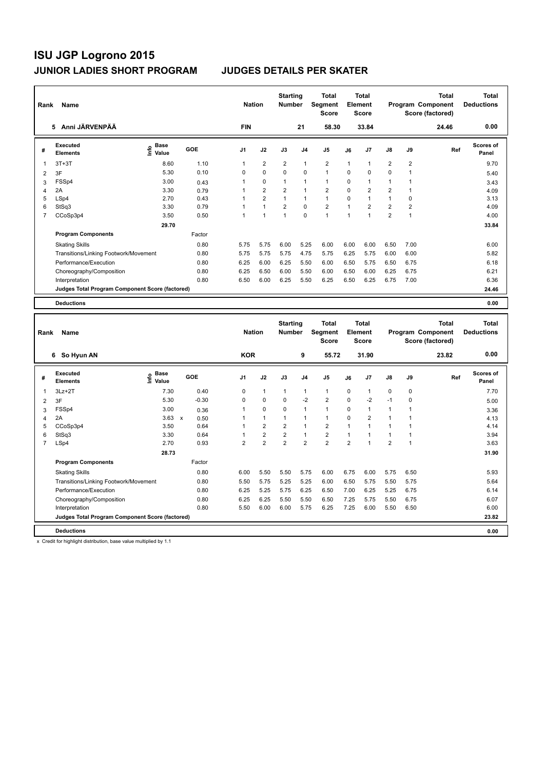| Rank           | Name                                            | <b>Nation</b>                |        | <b>Starting</b><br><b>Number</b> |                | <b>Total</b><br>Segment<br><b>Score</b> |                | Total<br>Element<br><b>Score</b> |                |                | <b>Total</b><br>Program Component<br>Score (factored) | Total<br><b>Deductions</b> |       |                    |
|----------------|-------------------------------------------------|------------------------------|--------|----------------------------------|----------------|-----------------------------------------|----------------|----------------------------------|----------------|----------------|-------------------------------------------------------|----------------------------|-------|--------------------|
|                | Anni JÄRVENPÄÄ<br>5.                            |                              |        | <b>FIN</b>                       |                |                                         | 21             | 58.30                            |                | 33.84          |                                                       |                            | 24.46 | 0.00               |
| #              | Executed<br><b>Elements</b>                     | <b>Base</b><br>lnfo<br>Value | GOE    | J <sub>1</sub>                   | J2             | J3                                      | J <sub>4</sub> | J <sub>5</sub>                   | J6             | J <sub>7</sub> | $\mathsf{J}8$                                         | J9                         | Ref   | Scores of<br>Panel |
| 1              | $3T+3T$                                         | 8.60                         | 1.10   | $\mathbf{1}$                     | $\overline{2}$ | $\overline{2}$                          | $\mathbf{1}$   | $\overline{2}$                   | $\mathbf{1}$   | 1              | $\overline{2}$                                        | $\overline{2}$             |       | 9.70               |
| 2              | 3F                                              | 5.30                         | 0.10   | $\Omega$                         | $\Omega$       | $\mathbf 0$                             | $\Omega$       | $\mathbf{1}$                     | $\Omega$       | $\Omega$       | $\Omega$                                              | 1                          |       | 5.40               |
| 3              | FSSp4                                           | 3.00                         | 0.43   | 1                                | $\mathbf 0$    | $\mathbf{1}$                            | $\mathbf{1}$   | $\mathbf{1}$                     | 0              | 1              | 1                                                     | 1                          |       | 3.43               |
| 4              | 2A                                              | 3.30                         | 0.79   |                                  | $\overline{2}$ | $\overline{2}$                          | $\mathbf{1}$   | $\overline{2}$                   | $\Omega$       | $\overline{2}$ | $\overline{2}$                                        |                            |       | 4.09               |
| 5              | LSp4                                            | 2.70                         | 0.43   |                                  | $\overline{2}$ |                                         | $\mathbf{1}$   | $\mathbf{1}$                     | $\Omega$       | 1              | $\mathbf 1$                                           | 0                          |       | 3.13               |
| 6              | StSq3                                           | 3.30                         | 0.79   |                                  | $\mathbf{1}$   | $\overline{2}$                          | 0              | $\overline{2}$                   | $\overline{ }$ | $\overline{2}$ | $\overline{2}$                                        | 2                          |       | 4.09               |
| $\overline{7}$ | CCoSp3p4                                        | 3.50                         | 0.50   | 1                                | 1              | 1                                       | $\Omega$       | $\mathbf{1}$                     | $\mathbf{1}$   | 1              | $\overline{2}$                                        | 1                          |       | 4.00               |
|                |                                                 | 29.70                        |        |                                  |                |                                         |                |                                  |                |                |                                                       |                            |       | 33.84              |
|                | <b>Program Components</b>                       |                              | Factor |                                  |                |                                         |                |                                  |                |                |                                                       |                            |       |                    |
|                | <b>Skating Skills</b>                           |                              | 0.80   | 5.75                             | 5.75           | 6.00                                    | 5.25           | 6.00                             | 6.00           | 6.00           | 6.50                                                  | 7.00                       |       | 6.00               |
|                | Transitions/Linking Footwork/Movement           |                              | 0.80   | 5.75                             | 5.75           | 5.75                                    | 4.75           | 5.75                             | 6.25           | 5.75           | 6.00                                                  | 6.00                       |       | 5.82               |
|                | Performance/Execution                           |                              | 0.80   | 6.25                             | 6.00           | 6.25                                    | 5.50           | 6.00                             | 6.50           | 5.75           | 6.50                                                  | 6.75                       |       | 6.18               |
|                | Choreography/Composition                        |                              | 0.80   | 6.25                             | 6.50           | 6.00                                    | 5.50           | 6.00                             | 6.50           | 6.00           | 6.25                                                  | 6.75                       |       | 6.21               |
|                | Interpretation                                  |                              | 0.80   | 6.50                             | 6.00           | 6.25                                    | 5.50           | 6.25                             | 6.50           | 6.25           | 6.75                                                  | 7.00                       |       | 6.36               |
|                | Judges Total Program Component Score (factored) |                              |        |                                  |                |                                         |                |                                  |                |                |                                                       |                            |       | 24.46              |
|                | <b>Deductions</b>                               |                              |        |                                  |                |                                         |                |                                  |                |                |                                                       |                            |       | 0.00               |

| Rank | Name                                            |                              |              |            |                | <b>Nation</b> |                | <b>Starting</b><br><b>Number</b> |                | Total<br>Segment<br><b>Score</b> |                | Total<br>Element<br><b>Score</b> |                |      | Total<br>Program Component<br>Score (factored) | Total<br><b>Deductions</b> |
|------|-------------------------------------------------|------------------------------|--------------|------------|----------------|---------------|----------------|----------------------------------|----------------|----------------------------------|----------------|----------------------------------|----------------|------|------------------------------------------------|----------------------------|
|      | So Hyun AN<br>6                                 |                              |              |            |                | <b>KOR</b>    |                |                                  | 9              | 55.72                            |                | 31.90                            |                |      | 23.82                                          | 0.00                       |
| #    | Executed<br><b>Elements</b>                     | <b>Base</b><br>١πfo<br>Value |              | <b>GOE</b> | J <sub>1</sub> |               | J2             | J3                               | J <sub>4</sub> | J <sub>5</sub>                   | J6             | J7                               | $\mathsf{J}8$  | J9   | Ref                                            | <b>Scores of</b><br>Panel  |
| 1    | $3Lz + 2T$                                      | 7.30                         |              | 0.40       | 0              |               | $\mathbf{1}$   | 1                                | $\mathbf 1$    | $\mathbf{1}$                     | 0              | 1                                | 0              | 0    |                                                | 7.70                       |
| 2    | 3F                                              | 5.30                         |              | $-0.30$    | $\Omega$       |               | $\Omega$       | $\Omega$                         | $-2$           | $\overline{2}$                   | $\Omega$       | $-2$                             | $-1$           | 0    |                                                | 5.00                       |
| 3    | FSSp4                                           | 3.00                         |              | 0.36       |                |               | $\mathbf 0$    | $\Omega$                         | $\mathbf{1}$   | $\mathbf{1}$                     | $\Omega$       | 1                                |                |      |                                                | 3.36                       |
| 4    | 2A                                              | 3.63                         | $\mathsf{x}$ | 0.50       |                |               | $\mathbf{1}$   |                                  | $\mathbf{1}$   | $\mathbf{1}$                     | $\Omega$       | 2                                | 1              |      |                                                | 4.13                       |
| 5    | CCoSp3p4                                        | 3.50                         |              | 0.64       |                |               | $\overline{2}$ | $\overline{2}$                   | $\overline{1}$ | $\overline{2}$                   | 1              | 1                                |                |      |                                                | 4.14                       |
| 6    | StSq3                                           | 3.30                         |              | 0.64       |                |               | $\overline{2}$ | 2                                | $\mathbf{1}$   | $\overline{\mathbf{c}}$          | $\mathbf{1}$   | 1                                |                |      |                                                | 3.94                       |
| 7    | LSp4                                            | 2.70                         |              | 0.93       | $\overline{2}$ |               | $\overline{2}$ | $\overline{2}$                   | $\overline{2}$ | $\overline{2}$                   | $\overline{2}$ |                                  | $\overline{2}$ |      |                                                | 3.63                       |
|      |                                                 | 28.73                        |              |            |                |               |                |                                  |                |                                  |                |                                  |                |      |                                                | 31.90                      |
|      | <b>Program Components</b>                       |                              |              | Factor     |                |               |                |                                  |                |                                  |                |                                  |                |      |                                                |                            |
|      | <b>Skating Skills</b>                           |                              |              | 0.80       | 6.00           |               | 5.50           | 5.50                             | 5.75           | 6.00                             | 6.75           | 6.00                             | 5.75           | 6.50 |                                                | 5.93                       |
|      | Transitions/Linking Footwork/Movement           |                              |              | 0.80       | 5.50           |               | 5.75           | 5.25                             | 5.25           | 6.00                             | 6.50           | 5.75                             | 5.50           | 5.75 |                                                | 5.64                       |
|      | Performance/Execution                           |                              |              | 0.80       | 6.25           |               | 5.25           | 5.75                             | 6.25           | 6.50                             | 7.00           | 6.25                             | 5.25           | 6.75 |                                                | 6.14                       |
|      | Choreography/Composition                        |                              |              | 0.80       | 6.25           |               | 6.25           | 5.50                             | 5.50           | 6.50                             | 7.25           | 5.75                             | 5.50           | 6.75 |                                                | 6.07                       |
|      | Interpretation                                  |                              |              | 0.80       | 5.50           |               | 6.00           | 6.00                             | 5.75           | 6.25                             | 7.25           | 6.00                             | 5.50           | 6.50 |                                                | 6.00                       |
|      | Judges Total Program Component Score (factored) |                              |              |            |                |               |                |                                  |                |                                  |                |                                  |                |      |                                                | 23.82                      |
|      | <b>Deductions</b>                               |                              |              |            |                |               |                |                                  |                |                                  |                |                                  |                |      |                                                | 0.00                       |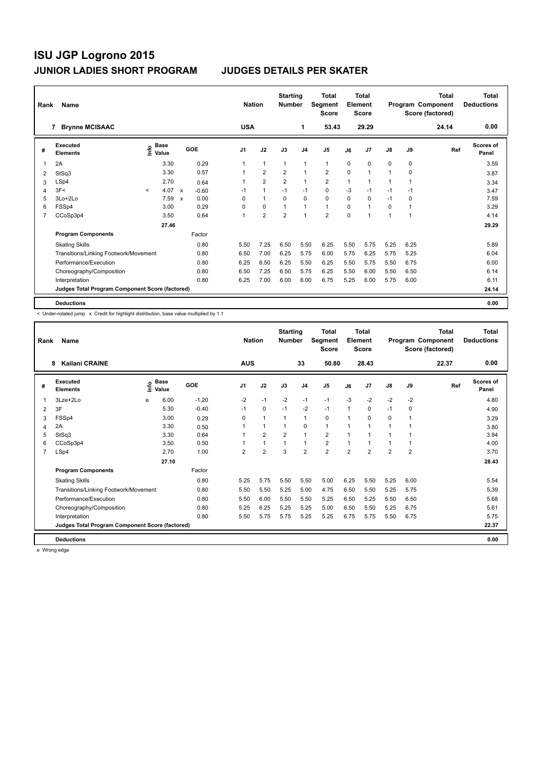| Rank                    | Name<br><b>Brynne MCISAAC</b><br>7              |         |                                    |                           |         |                | <b>Nation</b>  | <b>Starting</b><br><b>Number</b> |                | Total<br>Segment<br><b>Score</b> |          | <b>Total</b><br>Element<br><b>Score</b> |               |      | <b>Total</b><br>Program Component<br>Score (factored) | <b>Total</b><br><b>Deductions</b> |
|-------------------------|-------------------------------------------------|---------|------------------------------------|---------------------------|---------|----------------|----------------|----------------------------------|----------------|----------------------------------|----------|-----------------------------------------|---------------|------|-------------------------------------------------------|-----------------------------------|
|                         |                                                 |         |                                    |                           |         | <b>USA</b>     |                |                                  | 1              | 53.43                            |          | 29.29                                   |               |      | 24.14                                                 | 0.00                              |
| #                       | Executed<br><b>Elements</b>                     |         | <b>Base</b><br>$\frac{6}{5}$ Value |                           | GOE     | J <sub>1</sub> | J2             | J3                               | J <sub>4</sub> | J <sub>5</sub>                   | J6       | J7                                      | $\mathsf{J}8$ | J9   | Ref                                                   | Scores of<br>Panel                |
| $\overline{\mathbf{1}}$ | 2A                                              |         | 3.30                               |                           | 0.29    | 1              | $\mathbf{1}$   | $\mathbf{1}$                     | $\mathbf{1}$   | $\mathbf{1}$                     | 0        | 0                                       | 0             | 0    |                                                       | 3.59                              |
| 2                       | StSq3                                           |         | 3.30                               |                           | 0.57    |                | $\overline{2}$ | $\overline{2}$                   | $\overline{1}$ | $\overline{2}$                   | 0        | 1                                       | 1             | 0    |                                                       | 3.87                              |
| 3                       | LSp4                                            |         | 2.70                               |                           | 0.64    |                | $\overline{2}$ | $\overline{2}$                   | $\overline{1}$ | $\overline{2}$                   | 1        |                                         | 1             |      |                                                       | 3.34                              |
| 4                       | 3F<                                             | $\prec$ | 4.07                               | $\boldsymbol{\mathsf{x}}$ | $-0.60$ | $-1$           | $\mathbf{1}$   | $-1$                             | $-1$           | $\mathbf 0$                      | $-3$     | $-1$                                    | $-1$          | $-1$ |                                                       | 3.47                              |
| 5                       | 3Lo+2Lo                                         |         | 7.59                               | $\boldsymbol{\mathsf{x}}$ | 0.00    | $\Omega$       | $\mathbf{1}$   | $\Omega$                         | $\mathbf 0$    | $\Omega$                         | $\Omega$ | $\Omega$                                | $-1$          | 0    |                                                       | 7.59                              |
| 6                       | FSSp4                                           |         | 3.00                               |                           | 0.29    | $\Omega$       | $\mathbf 0$    | 1                                | $\mathbf{1}$   | $\mathbf{1}$                     | $\Omega$ | 1                                       | 0             |      |                                                       | 3.29                              |
| $\overline{7}$          | CCoSp3p4                                        |         | 3.50                               |                           | 0.64    | 1              | $\overline{2}$ | $\overline{2}$                   | $\overline{1}$ | $\overline{2}$                   | $\Omega$ | 1                                       | 1             | 1    |                                                       | 4.14                              |
|                         |                                                 |         | 27.46                              |                           |         |                |                |                                  |                |                                  |          |                                         |               |      |                                                       | 29.29                             |
|                         | <b>Program Components</b>                       |         |                                    |                           | Factor  |                |                |                                  |                |                                  |          |                                         |               |      |                                                       |                                   |
|                         | <b>Skating Skills</b>                           |         |                                    |                           | 0.80    | 5.50           | 7.25           | 6.50                             | 5.50           | 6.25                             | 5.50     | 5.75                                    | 5.25          | 6.25 |                                                       | 5.89                              |
|                         | Transitions/Linking Footwork/Movement           |         |                                    |                           | 0.80    | 6.50           | 7.00           | 6.25                             | 5.75           | 6.00                             | 5.75     | 6.25                                    | 5.75          | 5.25 |                                                       | 6.04                              |
|                         | Performance/Execution                           |         |                                    |                           | 0.80    | 6.25           | 6.50           | 6.25                             | 5.50           | 6.25                             | 5.50     | 5.75                                    | 5.50          | 6.75 |                                                       | 6.00                              |
|                         | Choreography/Composition                        |         |                                    |                           | 0.80    | 6.50           | 7.25           | 6.50                             | 5.75           | 6.25                             | 5.50     | 6.00                                    | 5.50          | 6.50 |                                                       | 6.14                              |
|                         | Interpretation                                  |         |                                    |                           | 0.80    | 6.25           | 7.00           | 6.00                             | 6.00           | 6.75                             | 5.25     | 6.00                                    | 5.75          | 6.00 |                                                       | 6.11                              |
|                         | Judges Total Program Component Score (factored) |         |                                    |                           |         |                |                |                                  |                |                                  |          |                                         |               |      |                                                       | 24.14                             |
|                         | <b>Deductions</b>                               |         |                                    |                           |         |                |                |                                  |                |                                  |          |                                         |               |      |                                                       | 0.00                              |

< Under-rotated jump x Credit for highlight distribution, base value multiplied by 1.1

| Rank | Name<br>8<br><b>Kailani CRAINE</b>              |      |                      |         |                | <b>Nation</b>  | <b>Starting</b><br><b>Number</b> |                | <b>Total</b><br>Segment<br><b>Score</b> |                | Total<br>Element<br><b>Score</b> |                |                | <b>Total</b><br>Program Component<br>Score (factored) | <b>Total</b><br><b>Deductions</b> |
|------|-------------------------------------------------|------|----------------------|---------|----------------|----------------|----------------------------------|----------------|-----------------------------------------|----------------|----------------------------------|----------------|----------------|-------------------------------------------------------|-----------------------------------|
|      |                                                 |      |                      |         | <b>AUS</b>     |                |                                  | 33             | 50.80                                   |                | 28.43                            |                |                | 22.37                                                 | 0.00                              |
| #    | Executed<br>Elements                            | ١nfo | <b>Base</b><br>Value | GOE     | J <sub>1</sub> | J2             | J3                               | J <sub>4</sub> | J <sub>5</sub>                          | J6             | J <sub>7</sub>                   | J8             | J9             | Ref                                                   | <b>Scores of</b><br>Panel         |
| 1    | 3Lze+2Lo                                        | e    | 6.00                 | $-1.20$ | $-2$           | $-1$           | $-2$                             | $-1$           | $-1$                                    | $-3$           | $-2$                             | $-2$           | $-2$           |                                                       | 4.80                              |
| 2    | 3F                                              |      | 5.30                 | $-0.40$ | $-1$           | $\Omega$       | $-1$                             | $-2$           | $-1$                                    | $\overline{1}$ | $\mathbf 0$                      | $-1$           | 0              |                                                       | 4.90                              |
| 3    | FSSp4                                           |      | 3.00                 | 0.29    | $\Omega$       | $\mathbf{1}$   | $\mathbf{1}$                     | $\mathbf{1}$   | $\Omega$                                | 1              | $\Omega$                         | 0              | 1              |                                                       | 3.29                              |
| 4    | 2A                                              |      | 3.30                 | 0.50    |                | $\mathbf{1}$   | 1                                | $\Omega$       | $\mathbf{1}$                            | $\overline{1}$ | $\overline{1}$                   | 1              | 1              |                                                       | 3.80                              |
| 5    | StSq3                                           |      | 3.30                 | 0.64    | 1              | $\overline{2}$ | $\overline{2}$                   | $\mathbf{1}$   | $\overline{2}$                          | $\overline{1}$ | -1                               | 1              | 1              |                                                       | 3.94                              |
| 6    | CCoSp3p4                                        |      | 3.50                 | 0.50    |                | 1              | 1                                | $\mathbf{1}$   | $\overline{\mathbf{c}}$                 | $\mathbf{1}$   | -1                               | 1              | 1              |                                                       | 4.00                              |
| 7    | LSp4                                            |      | 2.70                 | 1.00    | 2              | $\overline{2}$ | 3                                | $\overline{2}$ | $\overline{2}$                          | $\overline{2}$ | $\overline{2}$                   | $\overline{2}$ | $\overline{2}$ |                                                       | 3.70                              |
|      |                                                 |      | 27.10                |         |                |                |                                  |                |                                         |                |                                  |                |                |                                                       | 28.43                             |
|      | <b>Program Components</b>                       |      |                      | Factor  |                |                |                                  |                |                                         |                |                                  |                |                |                                                       |                                   |
|      | <b>Skating Skills</b>                           |      |                      | 0.80    | 5.25           | 5.75           | 5.50                             | 5.50           | 5.00                                    | 6.25           | 5.50                             | 5.25           | 6.00           |                                                       | 5.54                              |
|      | Transitions/Linking Footwork/Movement           |      |                      | 0.80    | 5.50           | 5.50           | 5.25                             | 5.00           | 4.75                                    | 6.50           | 5.50                             | 5.25           | 5.75           |                                                       | 5.39                              |
|      | Performance/Execution                           |      |                      | 0.80    | 5.50           | 6.00           | 5.50                             | 5.50           | 5.25                                    | 6.50           | 5.25                             | 5.50           | 6.50           |                                                       | 5.68                              |
|      | Choreography/Composition                        |      |                      | 0.80    | 5.25           | 6.25           | 5.25                             | 5.25           | 5.00                                    | 6.50           | 5.50                             | 5.25           | 6.75           |                                                       | 5.61                              |
|      | Interpretation                                  |      |                      | 0.80    | 5.50           | 5.75           | 5.75                             | 5.25           | 5.25                                    | 6.75           | 5.75                             | 5.50           | 6.75           |                                                       | 5.75                              |
|      | Judges Total Program Component Score (factored) |      |                      |         |                |                |                                  |                |                                         |                |                                  |                |                |                                                       | 22.37                             |
|      | <b>Deductions</b>                               |      |                      |         |                |                |                                  |                |                                         |                |                                  |                |                |                                                       | 0.00                              |

e Wrong edge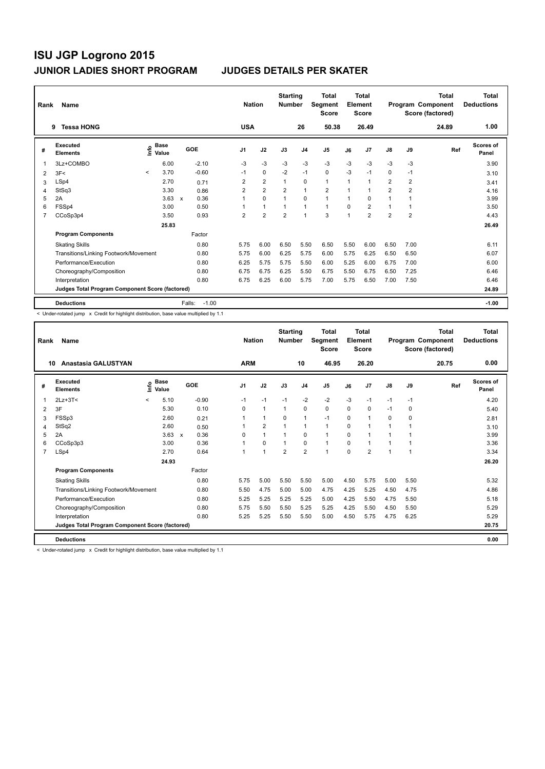| Rank | Name<br><b>Tessa HONG</b><br>9                  |                   |             |                     |                | <b>Nation</b>  | <b>Starting</b><br><b>Number</b> |                | Total<br>Segment<br><b>Score</b> |                | <b>Total</b><br>Element<br><b>Score</b> |                |                | <b>Total</b><br>Program Component<br>Score (factored) | <b>Total</b><br><b>Deductions</b> |
|------|-------------------------------------------------|-------------------|-------------|---------------------|----------------|----------------|----------------------------------|----------------|----------------------------------|----------------|-----------------------------------------|----------------|----------------|-------------------------------------------------------|-----------------------------------|
|      |                                                 |                   |             |                     | <b>USA</b>     |                |                                  | 26             | 50.38                            |                | 26.49                                   |                |                | 24.89                                                 | 1.00                              |
| #    | Executed<br><b>Elements</b>                     | e Base<br>⊆ Value | <b>Base</b> | GOE                 | J <sub>1</sub> | J2             | J3                               | J <sub>4</sub> | J <sub>5</sub>                   | J6             | J7                                      | $\mathsf{J}8$  | J9             | Ref                                                   | Scores of<br>Panel                |
|      | 3Lz+COMBO                                       |                   | 6.00        | $-2.10$             | $-3$           | $-3$           | $-3$                             | $-3$           | $-3$                             | $-3$           | $-3$                                    | $-3$           | $-3$           |                                                       | 3.90                              |
| 2    | 3F<                                             | $\prec$           | 3.70        | $-0.60$             | $-1$           | $\Omega$       | $-2$                             | $-1$           | $\mathbf 0$                      | $-3$           | $-1$                                    | 0              | $-1$           |                                                       | 3.10                              |
| 3    | LSp4                                            |                   | 2.70        | 0.71                | $\overline{2}$ | $\overline{2}$ | $\overline{1}$                   | $\mathbf 0$    | $\mathbf{1}$                     | $\overline{1}$ | 1                                       | $\overline{2}$ | $\overline{2}$ |                                                       | 3.41                              |
| 4    | StSq3                                           |                   | 3.30        | 0.86                | $\overline{2}$ | $\overline{2}$ | $\overline{2}$                   | $\overline{1}$ | $\overline{2}$                   | 1              | 1                                       | $\overline{2}$ | $\overline{2}$ |                                                       | 4.16                              |
| 5    | 2A                                              |                   | 3.63        | 0.36<br>$\mathbf x$ | 1              | $\mathbf 0$    | $\overline{1}$                   | $\mathbf 0$    | $\mathbf{1}$                     | 1              | $\Omega$                                | $\mathbf{1}$   | 1              |                                                       | 3.99                              |
| 6    | FSSp4                                           |                   | 3.00        | 0.50                | 1              | $\mathbf{1}$   | $\overline{1}$                   | 1              | $\mathbf{1}$                     | $\Omega$       | $\overline{2}$                          | 1              | 1              |                                                       | 3.50                              |
| 7    | CCoSp3p4                                        |                   | 3.50        | 0.93                | $\overline{2}$ | $\overline{2}$ | $\overline{2}$                   | 1              | 3                                | 1              | $\overline{2}$                          | $\overline{2}$ | $\overline{2}$ |                                                       | 4.43                              |
|      |                                                 |                   | 25.83       |                     |                |                |                                  |                |                                  |                |                                         |                |                |                                                       | 26.49                             |
|      | <b>Program Components</b>                       |                   |             | Factor              |                |                |                                  |                |                                  |                |                                         |                |                |                                                       |                                   |
|      | <b>Skating Skills</b>                           |                   |             | 0.80                | 5.75           | 6.00           | 6.50                             | 5.50           | 6.50                             | 5.50           | 6.00                                    | 6.50           | 7.00           |                                                       | 6.11                              |
|      | Transitions/Linking Footwork/Movement           |                   |             | 0.80                | 5.75           | 6.00           | 6.25                             | 5.75           | 6.00                             | 5.75           | 6.25                                    | 6.50           | 6.50           |                                                       | 6.07                              |
|      | Performance/Execution                           |                   |             | 0.80                | 6.25           | 5.75           | 5.75                             | 5.50           | 6.00                             | 5.25           | 6.00                                    | 6.75           | 7.00           |                                                       | 6.00                              |
|      | Choreography/Composition                        |                   |             | 0.80                | 6.75           | 6.75           | 6.25                             | 5.50           | 6.75                             | 5.50           | 6.75                                    | 6.50           | 7.25           |                                                       | 6.46                              |
|      | Interpretation                                  |                   |             | 0.80                | 6.75           | 6.25           | 6.00                             | 5.75           | 7.00                             | 5.75           | 6.50                                    | 7.00           | 7.50           |                                                       | 6.46                              |
|      | Judges Total Program Component Score (factored) |                   |             |                     |                |                |                                  |                |                                  |                |                                         |                |                |                                                       | 24.89                             |
|      | <b>Deductions</b>                               |                   |             | $-1.00$<br>Falls:   |                |                |                                  |                |                                  |                |                                         |                |                |                                                       | $-1.00$                           |

< Under-rotated jump x Credit for highlight distribution, base value multiplied by 1.1

| Rank           | Name                                            |         |                             |              |         |            | <b>Nation</b>        | <b>Starting</b><br><b>Number</b> |                | <b>Total</b><br>Segment<br><b>Score</b> |          | <b>Total</b><br>Element<br><b>Score</b> |              |      | Total<br>Program Component<br>Score (factored) | <b>Total</b><br><b>Deductions</b> |
|----------------|-------------------------------------------------|---------|-----------------------------|--------------|---------|------------|----------------------|----------------------------------|----------------|-----------------------------------------|----------|-----------------------------------------|--------------|------|------------------------------------------------|-----------------------------------|
| 10             | Anastasia GALUSTYAN                             |         |                             |              |         | <b>ARM</b> |                      |                                  | 10             | 46.95                                   |          | 26.20                                   |              |      | 20.75                                          | 0.00                              |
| #              | <b>Executed</b><br><b>Elements</b>              |         | $\sum_{k=1}^{\infty}$ Value |              | GOE     | J1         | J2                   | J3                               | J <sub>4</sub> | J <sub>5</sub>                          | J6       | J <sub>7</sub>                          | J8           | J9   | Ref                                            | <b>Scores of</b><br>Panel         |
| 1              | $2Lz + 3T <$                                    | $\prec$ | 5.10                        |              | $-0.90$ | $-1$       | $-1$                 | $-1$                             | $-2$           | $-2$                                    | $-3$     | $-1$                                    | $-1$         | $-1$ |                                                | 4.20                              |
| 2              | 3F                                              |         | 5.30                        |              | 0.10    | $\Omega$   | $\mathbf{1}$         | 1                                | $\mathbf 0$    | 0                                       | $\Omega$ | 0                                       | $-1$         | 0    |                                                | 5.40                              |
| 3              | FSSp3                                           |         | 2.60                        |              | 0.21    |            | $\mathbf{1}$         | 0                                | 1              | $-1$                                    | 0        | $\overline{1}$                          | 0            | 0    |                                                | 2.81                              |
| 4              | StSq2                                           |         | 2.60                        |              | 0.50    |            | $\overline{2}$       |                                  | $\mathbf{1}$   | $\mathbf{1}$                            | $\Omega$ | $\mathbf 1$                             | $\mathbf{1}$ | 1    |                                                | 3.10                              |
| 5              | 2A                                              |         | 3.63                        | $\mathsf{x}$ | 0.36    | $\Omega$   | $\mathbf{1}$         | $\overline{ }$                   | $\Omega$       | 1                                       | $\Omega$ | 1                                       | 1            | 1    |                                                | 3.99                              |
| 6              | CCoSp3p3                                        |         | 3.00                        |              | 0.36    |            | 0                    | 1                                | 0              | 1                                       | $\Omega$ | 1                                       | 1            | 1    |                                                | 3.36                              |
| $\overline{7}$ | LSp4                                            |         | 2.70                        |              | 0.64    |            | $\blacktriangleleft$ | $\overline{2}$                   | $\overline{2}$ | 1                                       | $\Omega$ | $\overline{2}$                          | 1            | 1    |                                                | 3.34                              |
|                |                                                 |         | 24.93                       |              |         |            |                      |                                  |                |                                         |          |                                         |              |      |                                                | 26.20                             |
|                | <b>Program Components</b>                       |         |                             |              | Factor  |            |                      |                                  |                |                                         |          |                                         |              |      |                                                |                                   |
|                | <b>Skating Skills</b>                           |         |                             |              | 0.80    | 5.75       | 5.00                 | 5.50                             | 5.50           | 5.00                                    | 4.50     | 5.75                                    | 5.00         | 5.50 |                                                | 5.32                              |
|                | Transitions/Linking Footwork/Movement           |         |                             |              | 0.80    | 5.50       | 4.75                 | 5.00                             | 5.00           | 4.75                                    | 4.25     | 5.25                                    | 4.50         | 4.75 |                                                | 4.86                              |
|                | Performance/Execution                           |         |                             |              | 0.80    | 5.25       | 5.25                 | 5.25                             | 5.25           | 5.00                                    | 4.25     | 5.50                                    | 4.75         | 5.50 |                                                | 5.18                              |
|                | Choreography/Composition                        |         |                             |              | 0.80    | 5.75       | 5.50                 | 5.50                             | 5.25           | 5.25                                    | 4.25     | 5.50                                    | 4.50         | 5.50 |                                                | 5.29                              |
|                | Interpretation                                  |         |                             |              | 0.80    | 5.25       | 5.25                 | 5.50                             | 5.50           | 5.00                                    | 4.50     | 5.75                                    | 4.75         | 6.25 |                                                | 5.29                              |
|                | Judges Total Program Component Score (factored) |         |                             |              |         |            |                      |                                  |                |                                         |          |                                         |              |      |                                                | 20.75                             |
|                | <b>Deductions</b>                               |         |                             |              |         |            |                      |                                  |                |                                         |          |                                         |              |      |                                                | 0.00                              |

< Under-rotated jump x Credit for highlight distribution, base value multiplied by 1.1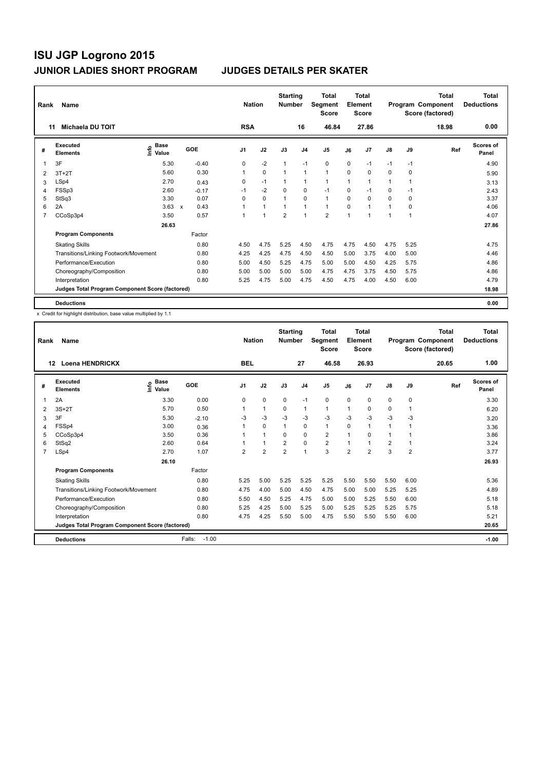| Rank           | Name                                            |                              |                                   |                | <b>Nation</b>  | <b>Starting</b><br><b>Number</b> |                          | <b>Total</b><br>Segment<br><b>Score</b> |              | <b>Total</b><br>Element<br><b>Score</b> |               |      | <b>Total</b><br>Program Component<br>Score (factored) | Total<br><b>Deductions</b> |
|----------------|-------------------------------------------------|------------------------------|-----------------------------------|----------------|----------------|----------------------------------|--------------------------|-----------------------------------------|--------------|-----------------------------------------|---------------|------|-------------------------------------------------------|----------------------------|
| 11             | <b>Michaela DU TOIT</b>                         |                              |                                   | <b>RSA</b>     |                |                                  | 16                       | 46.84                                   |              | 27.86                                   |               |      | 18.98                                                 | 0.00                       |
| #              | Executed<br><b>Elements</b>                     | <b>Base</b><br>lnfo<br>Value | GOE                               | J <sub>1</sub> | J2             | J3                               | J <sub>4</sub>           | J <sub>5</sub>                          | J6           | J <sub>7</sub>                          | $\mathsf{J}8$ | J9   | Ref                                                   | Scores of<br>Panel         |
| 1              | 3F                                              | 5.30                         | $-0.40$                           | 0              | $-2$           | $\overline{1}$                   | $-1$                     | 0                                       | 0            | $-1$                                    | $-1$          | $-1$ |                                                       | 4.90                       |
| 2              | $3T+2T$                                         | 5.60                         | 0.30                              | 1              | $\Omega$       | $\overline{1}$                   | $\mathbf{1}$             | $\mathbf{1}$                            | $\Omega$     | $\Omega$                                | 0             | 0    |                                                       | 5.90                       |
| 3              | LSp4                                            | 2.70                         | 0.43                              | 0              | $-1$           |                                  | $\overline{\phantom{a}}$ | $\mathbf{1}$                            | $\mathbf 1$  | 1                                       | 1             |      |                                                       | 3.13                       |
| 4              | FSSp3                                           | 2.60                         | $-0.17$                           | $-1$           | $-2$           | $\Omega$                         | $\mathbf 0$              | $-1$                                    | $\Omega$     | $-1$                                    | 0             | $-1$ |                                                       | 2.43                       |
| 5              | StSq3                                           | 3.30                         | 0.07                              | $\Omega$       | $\Omega$       | $\overline{1}$                   | $\Omega$                 | $\mathbf{1}$                            | $\Omega$     | $\Omega$                                | $\Omega$      | 0    |                                                       | 3.37                       |
| 6              | 2A                                              | 3.63                         | 0.43<br>$\boldsymbol{\mathsf{x}}$ |                | $\overline{1}$ | $\overline{1}$                   | $\overline{1}$           | $\mathbf{1}$                            | $\Omega$     | 1                                       | 1             | 0    |                                                       | 4.06                       |
| $\overline{7}$ | CCoSp3p4                                        | 3.50                         | 0.57                              | 1              | $\overline{1}$ | $\overline{2}$                   | $\overline{1}$           | $\overline{2}$                          | $\mathbf{1}$ | 1                                       | 1             | 1    |                                                       | 4.07                       |
|                |                                                 | 26.63                        |                                   |                |                |                                  |                          |                                         |              |                                         |               |      |                                                       | 27.86                      |
|                | <b>Program Components</b>                       |                              | Factor                            |                |                |                                  |                          |                                         |              |                                         |               |      |                                                       |                            |
|                | <b>Skating Skills</b>                           |                              | 0.80                              | 4.50           | 4.75           | 5.25                             | 4.50                     | 4.75                                    | 4.75         | 4.50                                    | 4.75          | 5.25 |                                                       | 4.75                       |
|                | Transitions/Linking Footwork/Movement           |                              | 0.80                              | 4.25           | 4.25           | 4.75                             | 4.50                     | 4.50                                    | 5.00         | 3.75                                    | 4.00          | 5.00 |                                                       | 4.46                       |
|                | Performance/Execution                           |                              | 0.80                              | 5.00           | 4.50           | 5.25                             | 4.75                     | 5.00                                    | 5.00         | 4.50                                    | 4.25          | 5.75 |                                                       | 4.86                       |
|                | Choreography/Composition                        |                              | 0.80                              | 5.00           | 5.00           | 5.00                             | 5.00                     | 4.75                                    | 4.75         | 3.75                                    | 4.50          | 5.75 |                                                       | 4.86                       |
|                | Interpretation                                  |                              | 0.80                              | 5.25           | 4.75           | 5.00                             | 4.75                     | 4.50                                    | 4.75         | 4.00                                    | 4.50          | 6.00 |                                                       | 4.79                       |
|                | Judges Total Program Component Score (factored) |                              |                                   |                |                |                                  |                          |                                         |              |                                         |               |      |                                                       | 18.98                      |
|                | <b>Deductions</b>                               |                              |                                   |                |                |                                  |                          |                                         |              |                                         |               |      |                                                       | 0.00                       |

| Rank           | Name                                            |                              |                   | <b>Nation</b>  |                | <b>Starting</b><br><b>Number</b> |                | <b>Total</b><br>Segment<br><b>Score</b> |                | Total<br>Element<br><b>Score</b> |                |                | Total<br>Program Component<br>Score (factored) | <b>Total</b><br><b>Deductions</b> |
|----------------|-------------------------------------------------|------------------------------|-------------------|----------------|----------------|----------------------------------|----------------|-----------------------------------------|----------------|----------------------------------|----------------|----------------|------------------------------------------------|-----------------------------------|
| 12             | <b>Loena HENDRICKX</b>                          |                              |                   | <b>BEL</b>     |                |                                  | 27             | 46.58                                   |                | 26.93                            |                |                | 20.65                                          | 1.00                              |
| #              | <b>Executed</b><br><b>Elements</b>              | <b>Base</b><br>١nfo<br>Value | GOE               | J1             | J2             | J3                               | J <sub>4</sub> | J <sub>5</sub>                          | J6             | J <sub>7</sub>                   | J8             | J9             | Ref                                            | Scores of<br>Panel                |
| 1              | 2A                                              | 3.30                         | 0.00              | $\mathbf 0$    | $\mathbf 0$    | 0                                | $-1$           | 0                                       | $\mathbf 0$    | $\mathbf 0$                      | 0              | $\mathbf 0$    |                                                | 3.30                              |
| 2              | $3S+2T$                                         | 5.70                         | 0.50              |                | $\mathbf{1}$   | 0                                | 1              | 1                                       | $\mathbf{1}$   | 0                                | 0              | 1              |                                                | 6.20                              |
| 3              | 3F                                              | 5.30                         | $-2.10$           | $-3$           | $-3$           | $-3$                             | $-3$           | $-3$                                    | $-3$           | $-3$                             | $-3$           | -3             |                                                | 3.20                              |
| 4              | FSSp4                                           | 3.00                         | 0.36              |                | $\Omega$       | 1                                | 0              | $\mathbf{1}$                            | 0              | $\mathbf{1}$                     | 1              | 1              |                                                | 3.36                              |
| 5              | CCoSp3p4                                        | 3.50                         | 0.36              |                | $\overline{1}$ | $\Omega$                         | $\mathbf 0$    | $\overline{2}$                          | 1              | 0                                | $\mathbf{1}$   | 1              |                                                | 3.86                              |
| 6              | StSq2                                           | 2.60                         | 0.64              |                | $\overline{1}$ | $\overline{2}$                   | $\Omega$       | $\overline{2}$                          | 1              | 1                                | $\overline{2}$ | 1              |                                                | 3.24                              |
| $\overline{7}$ | LSp4                                            | 2.70                         | 1.07              | $\overline{2}$ | $\overline{2}$ | $\overline{2}$                   | 1              | 3                                       | $\overline{2}$ | $\overline{2}$                   | 3              | $\overline{2}$ |                                                | 3.77                              |
|                |                                                 | 26.10                        |                   |                |                |                                  |                |                                         |                |                                  |                |                |                                                | 26.93                             |
|                | <b>Program Components</b>                       |                              | Factor            |                |                |                                  |                |                                         |                |                                  |                |                |                                                |                                   |
|                | <b>Skating Skills</b>                           |                              | 0.80              | 5.25           | 5.00           | 5.25                             | 5.25           | 5.25                                    | 5.50           | 5.50                             | 5.50           | 6.00           |                                                | 5.36                              |
|                | Transitions/Linking Footwork/Movement           |                              | 0.80              | 4.75           | 4.00           | 5.00                             | 4.50           | 4.75                                    | 5.00           | 5.00                             | 5.25           | 5.25           |                                                | 4.89                              |
|                | Performance/Execution                           |                              | 0.80              | 5.50           | 4.50           | 5.25                             | 4.75           | 5.00                                    | 5.00           | 5.25                             | 5.50           | 6.00           |                                                | 5.18                              |
|                | Choreography/Composition                        |                              | 0.80              | 5.25           | 4.25           | 5.00                             | 5.25           | 5.00                                    | 5.25           | 5.25                             | 5.25           | 5.75           |                                                | 5.18                              |
|                | Interpretation                                  |                              | 0.80              | 4.75           | 4.25           | 5.50                             | 5.00           | 4.75                                    | 5.50           | 5.50                             | 5.50           | 6.00           |                                                | 5.21                              |
|                | Judges Total Program Component Score (factored) |                              |                   |                |                |                                  |                |                                         |                |                                  |                |                |                                                | 20.65                             |
|                | <b>Deductions</b>                               |                              | Falls:<br>$-1.00$ |                |                |                                  |                |                                         |                |                                  |                |                |                                                | $-1.00$                           |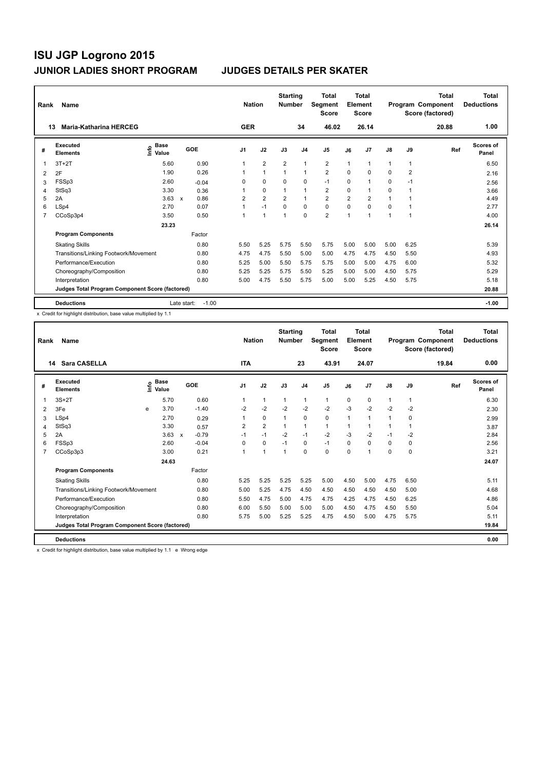| Rank           | Name                                            |                              |             |         | <b>Nation</b>  |                | <b>Starting</b><br><b>Number</b> |                | <b>Total</b><br>Segment<br><b>Score</b> |                | <b>Total</b><br>Element<br><b>Score</b> |               |                | <b>Total</b><br>Program Component<br>Score (factored) | Total<br><b>Deductions</b> |
|----------------|-------------------------------------------------|------------------------------|-------------|---------|----------------|----------------|----------------------------------|----------------|-----------------------------------------|----------------|-----------------------------------------|---------------|----------------|-------------------------------------------------------|----------------------------|
| 13             | <b>Maria-Katharina HERCEG</b>                   |                              |             |         | <b>GER</b>     |                |                                  | 34             | 46.02                                   |                | 26.14                                   |               |                | 20.88                                                 | 1.00                       |
| #              | Executed<br><b>Elements</b>                     | <b>Base</b><br>lnfo<br>Value |             | GOE     | J <sub>1</sub> | J2             | J3                               | J <sub>4</sub> | J <sub>5</sub>                          | J6             | J7                                      | $\mathsf{J}8$ | J9             | Ref                                                   | <b>Scores of</b><br>Panel  |
| 1              | $3T+2T$                                         | 5.60                         |             | 0.90    | 1              | $\overline{2}$ | $\overline{2}$                   | $\mathbf{1}$   | $\overline{2}$                          | 1              | 1                                       | 1             | 1              |                                                       | 6.50                       |
| 2              | 2F                                              | 1.90                         |             | 0.26    |                | $\overline{1}$ | $\overline{1}$                   | $\mathbf{1}$   | $\overline{2}$                          | $\Omega$       | $\Omega$                                | $\Omega$      | $\overline{2}$ |                                                       | 2.16                       |
| 3              | FSSp3                                           | 2.60                         |             | $-0.04$ | 0              | $\Omega$       | $\Omega$                         | $\mathbf 0$    | $-1$                                    | $\Omega$       | 1                                       | $\Omega$      | $-1$           |                                                       | 2.56                       |
| 4              | StSq3                                           | 3.30                         |             | 0.36    |                | 0              | $\overline{1}$                   | $\mathbf{1}$   | $\overline{2}$                          | $\Omega$       | 1                                       | 0             |                |                                                       | 3.66                       |
| 5              | 2A                                              | 3.63                         | X           | 0.86    | $\overline{2}$ | $\overline{2}$ | $\overline{2}$                   | $\overline{1}$ | $\overline{2}$                          | $\overline{2}$ | $\overline{2}$                          | 1             |                |                                                       | 4.49                       |
| 6              | LSp4                                            | 2.70                         |             | 0.07    | 1              | $-1$           | $\mathbf 0$                      | $\mathbf 0$    | $\mathbf 0$                             | 0              | 0                                       | 0             |                |                                                       | 2.77                       |
| $\overline{7}$ | CCoSp3p4                                        | 3.50                         |             | 0.50    | 1              | $\overline{1}$ | $\overline{1}$                   | $\mathbf 0$    | $\overline{2}$                          | $\mathbf{1}$   | $\blacktriangleleft$                    | 1             | 1              |                                                       | 4.00                       |
|                |                                                 | 23.23                        |             |         |                |                |                                  |                |                                         |                |                                         |               |                |                                                       | 26.14                      |
|                | <b>Program Components</b>                       |                              |             | Factor  |                |                |                                  |                |                                         |                |                                         |               |                |                                                       |                            |
|                | <b>Skating Skills</b>                           |                              |             | 0.80    | 5.50           | 5.25           | 5.75                             | 5.50           | 5.75                                    | 5.00           | 5.00                                    | 5.00          | 6.25           |                                                       | 5.39                       |
|                | Transitions/Linking Footwork/Movement           |                              |             | 0.80    | 4.75           | 4.75           | 5.50                             | 5.00           | 5.00                                    | 4.75           | 4.75                                    | 4.50          | 5.50           |                                                       | 4.93                       |
|                | Performance/Execution                           |                              |             | 0.80    | 5.25           | 5.00           | 5.50                             | 5.75           | 5.75                                    | 5.00           | 5.00                                    | 4.75          | 6.00           |                                                       | 5.32                       |
|                | Choreography/Composition                        |                              |             | 0.80    | 5.25           | 5.25           | 5.75                             | 5.50           | 5.25                                    | 5.00           | 5.00                                    | 4.50          | 5.75           |                                                       | 5.29                       |
|                | Interpretation                                  |                              |             | 0.80    | 5.00           | 4.75           | 5.50                             | 5.75           | 5.00                                    | 5.00           | 5.25                                    | 4.50          | 5.75           |                                                       | 5.18                       |
|                | Judges Total Program Component Score (factored) |                              |             |         |                |                |                                  |                |                                         |                |                                         |               |                |                                                       | 20.88                      |
|                | <b>Deductions</b>                               |                              | Late start: | $-1.00$ |                |                |                                  |                |                                         |                |                                         |               |                |                                                       | $-1.00$                    |

x Credit for highlight distribution, base value multiplied by 1.1

| Rank | Name<br>Sara CASELLA<br>14                      |   |                    |              |         |            | <b>Nation</b> |                | <b>Starting</b><br><b>Number</b> |                | <b>Total</b><br>Segment<br><b>Score</b> |          | <b>Total</b><br>Element<br><b>Score</b> |               |          | <b>Total</b><br>Program Component<br>Score (factored) | <b>Total</b><br><b>Deductions</b> |
|------|-------------------------------------------------|---|--------------------|--------------|---------|------------|---------------|----------------|----------------------------------|----------------|-----------------------------------------|----------|-----------------------------------------|---------------|----------|-------------------------------------------------------|-----------------------------------|
|      |                                                 |   |                    |              |         | <b>ITA</b> |               |                |                                  | 23             | 43.91                                   |          | 24.07                                   |               |          | 19.84                                                 | 0.00                              |
| #    | Executed<br><b>Elements</b>                     |   | $\frac{e}{E}$ Base |              | GOE     | J1         |               | J2             | J3                               | J <sub>4</sub> | J <sub>5</sub>                          | J6       | J <sub>7</sub>                          | $\mathsf{J}8$ | J9       | Ref                                                   | Scores of<br>Panel                |
| 1    | $3S+2T$                                         |   | 5.70               |              | 0.60    |            |               | $\mathbf{1}$   | 1                                | 1              | $\mathbf{1}$                            | 0        | $\mathbf 0$                             | $\mathbf{1}$  | 1        |                                                       | 6.30                              |
| 2    | 3Fe                                             | e | 3.70               |              | $-1.40$ | $-2$       |               | $-2$           | $-2$                             | $-2$           | $-2$                                    | $-3$     | $-2$                                    | $-2$          | $-2$     |                                                       | 2.30                              |
| 3    | LSp4                                            |   | 2.70               |              | 0.29    |            |               | 0              | $\mathbf{1}$                     | 0              | 0                                       | 1        | 1                                       | $\mathbf{1}$  | 0        |                                                       | 2.99                              |
| 4    | StSq3                                           |   | 3.30               |              | 0.57    | 2          |               | $\overline{2}$ |                                  | 1              | $\mathbf{1}$                            | 1        | 1                                       | $\mathbf{1}$  | 1        |                                                       | 3.87                              |
| 5    | 2A                                              |   | 3.63               | $\mathsf{x}$ | $-0.79$ | $-1$       |               | $-1$           | $-2$                             | $-1$           | $-2$                                    | $-3$     | $-2$                                    | $-1$          | $-2$     |                                                       | 2.84                              |
| 6    | FSSp3                                           |   | 2.60               |              | $-0.04$ | $\Omega$   |               | 0              | $-1$                             | 0              | $-1$                                    | $\Omega$ | $\Omega$                                | $\Omega$      | 0        |                                                       | 2.56                              |
| 7    | CCoSp3p3                                        |   | 3.00               |              | 0.21    |            |               | $\mathbf{1}$   | $\overline{1}$                   | $\Omega$       | $\Omega$                                | 0        | 1                                       | $\Omega$      | $\Omega$ |                                                       | 3.21                              |
|      |                                                 |   | 24.63              |              |         |            |               |                |                                  |                |                                         |          |                                         |               |          |                                                       | 24.07                             |
|      | <b>Program Components</b>                       |   |                    |              | Factor  |            |               |                |                                  |                |                                         |          |                                         |               |          |                                                       |                                   |
|      | <b>Skating Skills</b>                           |   |                    |              | 0.80    | 5.25       |               | 5.25           | 5.25                             | 5.25           | 5.00                                    | 4.50     | 5.00                                    | 4.75          | 6.50     |                                                       | 5.11                              |
|      | Transitions/Linking Footwork/Movement           |   |                    |              | 0.80    | 5.00       |               | 5.25           | 4.75                             | 4.50           | 4.50                                    | 4.50     | 4.50                                    | 4.50          | 5.00     |                                                       | 4.68                              |
|      | Performance/Execution                           |   |                    |              | 0.80    | 5.50       |               | 4.75           | 5.00                             | 4.75           | 4.75                                    | 4.25     | 4.75                                    | 4.50          | 6.25     |                                                       | 4.86                              |
|      | Choreography/Composition                        |   |                    |              | 0.80    | 6.00       |               | 5.50           | 5.00                             | 5.00           | 5.00                                    | 4.50     | 4.75                                    | 4.50          | 5.50     |                                                       | 5.04                              |
|      | Interpretation                                  |   |                    |              | 0.80    | 5.75       |               | 5.00           | 5.25                             | 5.25           | 4.75                                    | 4.50     | 5.00                                    | 4.75          | 5.75     |                                                       | 5.11                              |
|      | Judges Total Program Component Score (factored) |   |                    |              |         |            |               |                |                                  |                |                                         |          |                                         |               |          |                                                       | 19.84                             |
|      | <b>Deductions</b>                               |   |                    |              |         |            |               |                |                                  |                |                                         |          |                                         |               |          |                                                       | 0.00                              |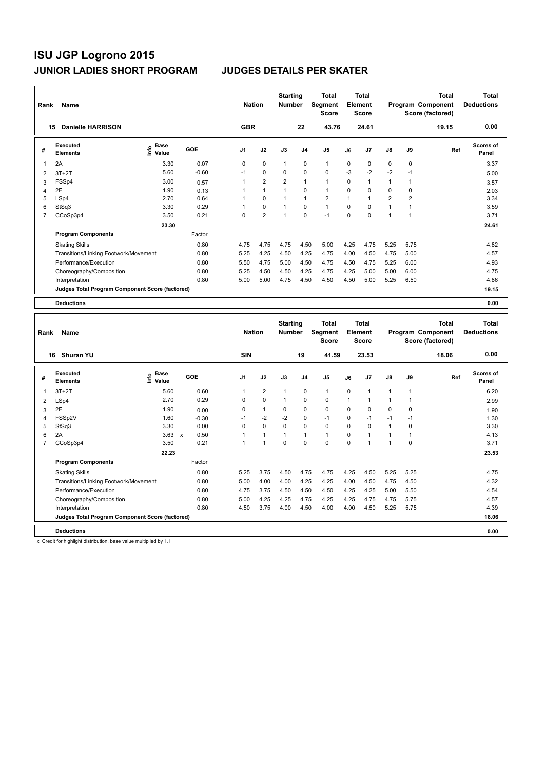| Rank           | Name                                            | <b>Nation</b>                |         | <b>Starting</b><br><b>Number</b> |                | Total<br>Segment<br><b>Score</b> |                | <b>Total</b><br>Element<br><b>Score</b> |              |          | <b>Total</b><br>Program Component<br>Score (factored) | Total<br><b>Deductions</b> |       |                    |
|----------------|-------------------------------------------------|------------------------------|---------|----------------------------------|----------------|----------------------------------|----------------|-----------------------------------------|--------------|----------|-------------------------------------------------------|----------------------------|-------|--------------------|
|                | <b>Danielle HARRISON</b><br>15                  |                              |         | <b>GBR</b>                       |                |                                  | 22             | 43.76                                   |              | 24.61    |                                                       |                            | 19.15 | 0.00               |
| #              | Executed<br><b>Elements</b>                     | <b>Base</b><br>١nfo<br>Value | GOE     | J <sub>1</sub>                   | J2             | J3                               | J <sub>4</sub> | J <sub>5</sub>                          | J6           | J7       | $\mathsf{J}8$                                         | J9                         | Ref   | Scores of<br>Panel |
| $\overline{1}$ | 2A                                              | 3.30                         | 0.07    | 0                                | $\mathbf 0$    | 1                                | $\mathbf 0$    | $\mathbf{1}$                            | 0            | 0        | 0                                                     | 0                          |       | 3.37               |
| $\overline{2}$ | $3T+2T$                                         | 5.60                         | $-0.60$ | $-1$                             | $\mathbf 0$    | 0                                | $\mathbf 0$    | $\mathbf 0$                             | $-3$         | $-2$     | $-2$                                                  | $-1$                       |       | 5.00               |
| 3              | FSSp4                                           | 3.00                         | 0.57    | $\mathbf 1$                      | $\overline{2}$ | $\overline{2}$                   | $\overline{1}$ | $\mathbf{1}$                            | $\Omega$     | 1        | $\mathbf{1}$                                          | 1                          |       | 3.57               |
| $\overline{4}$ | 2F                                              | 1.90                         | 0.13    |                                  | $\mathbf{1}$   | $\overline{1}$                   | 0              | $\mathbf{1}$                            | $\Omega$     | 0        | 0                                                     | 0                          |       | 2.03               |
| 5              | LSp4                                            | 2.70                         | 0.64    | 1                                | $\Omega$       | 1                                | $\overline{1}$ | $\overline{2}$                          | $\mathbf{1}$ |          | $\overline{2}$                                        | 2                          |       | 3.34               |
| 6              | StSq3                                           | 3.30                         | 0.29    | 1                                | $\mathbf 0$    | 1                                | 0              | $\mathbf{1}$                            | $\Omega$     | $\Omega$ | $\mathbf{1}$                                          |                            |       | 3.59               |
| $\overline{7}$ | CCoSp3p4                                        | 3.50                         | 0.21    | 0                                | $\overline{2}$ | 1                                | $\Omega$       | $-1$                                    | $\Omega$     | 0        | $\blacktriangleleft$                                  | $\mathbf{1}$               |       | 3.71               |
|                |                                                 | 23.30                        |         |                                  |                |                                  |                |                                         |              |          |                                                       |                            |       | 24.61              |
|                | <b>Program Components</b>                       |                              | Factor  |                                  |                |                                  |                |                                         |              |          |                                                       |                            |       |                    |
|                | <b>Skating Skills</b>                           |                              | 0.80    | 4.75                             | 4.75           | 4.75                             | 4.50           | 5.00                                    | 4.25         | 4.75     | 5.25                                                  | 5.75                       |       | 4.82               |
|                | Transitions/Linking Footwork/Movement           |                              | 0.80    | 5.25                             | 4.25           | 4.50                             | 4.25           | 4.75                                    | 4.00         | 4.50     | 4.75                                                  | 5.00                       |       | 4.57               |
|                | Performance/Execution                           |                              | 0.80    | 5.50                             | 4.75           | 5.00                             | 4.50           | 4.75                                    | 4.50         | 4.75     | 5.25                                                  | 6.00                       |       | 4.93               |
|                | Choreography/Composition                        |                              | 0.80    | 5.25                             | 4.50           | 4.50                             | 4.25           | 4.75                                    | 4.25         | 5.00     | 5.00                                                  | 6.00                       |       | 4.75               |
|                | Interpretation                                  |                              | 0.80    | 5.00                             | 5.00           | 4.75                             | 4.50           | 4.50                                    | 4.50         | 5.00     | 5.25                                                  | 6.50                       |       | 4.86               |
|                | Judges Total Program Component Score (factored) |                              |         |                                  |                |                                  |                |                                         |              |          |                                                       |                            |       | 19.15              |
|                | <b>Deductions</b>                               |                              |         |                                  |                |                                  |                |                                         |              |          |                                                       |                            |       | 0.00               |

| Rank           | Name                                            |                             | <b>Nation</b> |                | <b>Starting</b><br><b>Number</b> |                | Total<br>Segment<br><b>Score</b> |              | <b>Total</b><br>Element<br><b>Score</b> |          |                      | <b>Total</b><br>Program Component<br>Score (factored) | <b>Total</b><br><b>Deductions</b> |                           |
|----------------|-------------------------------------------------|-----------------------------|---------------|----------------|----------------------------------|----------------|----------------------------------|--------------|-----------------------------------------|----------|----------------------|-------------------------------------------------------|-----------------------------------|---------------------------|
|                | <b>Shuran YU</b><br>16                          |                             |               | SIN            |                                  |                | 19                               | 41.59        |                                         | 23.53    |                      |                                                       | 18.06                             | 0.00                      |
| #              | Executed<br><b>Elements</b>                     | <b>Base</b><br>١m٥<br>Value | GOE           | J <sub>1</sub> | J2                               | J3             | J <sub>4</sub>                   | J5           | J6                                      | J7       | $\mathsf{J}8$        | J9                                                    | Ref                               | <b>Scores of</b><br>Panel |
| 1              | $3T+2T$                                         | 5.60                        | 0.60          | 1              | $\overline{2}$                   | $\mathbf{1}$   | $\mathbf 0$                      | $\mathbf{1}$ | $\Omega$                                | 1        | $\mathbf{1}$         | 1                                                     |                                   | 6.20                      |
| $\overline{2}$ | LSp4                                            | 2.70                        | 0.29          | 0              | $\mathbf 0$                      | -1             | $\mathbf 0$                      | $\mathbf 0$  | 1                                       | 1        | $\blacktriangleleft$ |                                                       |                                   | 2.99                      |
| 3              | 2F                                              | 1.90                        | 0.00          | 0              | $\mathbf{1}$                     | $\Omega$       | $\mathbf 0$                      | $\mathbf 0$  | $\Omega$                                | 0        | 0                    | $\Omega$                                              |                                   | 1.90                      |
| 4              | FSSp2V                                          | 1.60                        | $-0.30$       | $-1$           | $-2$                             | $-2$           | $\mathbf 0$                      | $-1$         | 0                                       | $-1$     | $-1$                 | $-1$                                                  |                                   | 1.30                      |
| 5              | StSq3                                           | 3.30                        | 0.00          | 0              | $\mathbf 0$                      | $\Omega$       | $\mathbf 0$                      | $\mathbf 0$  | $\Omega$                                | $\Omega$ | $\mathbf{1}$         | $\Omega$                                              |                                   | 3.30                      |
| 6              | 2A                                              | 3.63                        | 0.50<br>X     |                | $\overline{1}$                   | $\overline{1}$ | $\mathbf{1}$                     | $\mathbf{1}$ | 0                                       | 1        | $\blacktriangleleft$ |                                                       |                                   | 4.13                      |
| $\overline{7}$ | CCoSp3p4                                        | 3.50                        | 0.21          | 1              | $\overline{1}$                   | $\mathbf 0$    | $\mathbf 0$                      | $\mathbf 0$  | $\mathbf 0$                             | 1        | $\overline{1}$       | 0                                                     |                                   | 3.71                      |
|                |                                                 | 22.23                       |               |                |                                  |                |                                  |              |                                         |          |                      |                                                       |                                   | 23.53                     |
|                | <b>Program Components</b>                       |                             | Factor        |                |                                  |                |                                  |              |                                         |          |                      |                                                       |                                   |                           |
|                | <b>Skating Skills</b>                           |                             | 0.80          | 5.25           | 3.75                             | 4.50           | 4.75                             | 4.75         | 4.25                                    | 4.50     | 5.25                 | 5.25                                                  |                                   | 4.75                      |
|                | Transitions/Linking Footwork/Movement           |                             | 0.80          | 5.00           | 4.00                             | 4.00           | 4.25                             | 4.25         | 4.00                                    | 4.50     | 4.75                 | 4.50                                                  |                                   | 4.32                      |
|                | Performance/Execution                           |                             | 0.80          | 4.75           | 3.75                             | 4.50           | 4.50                             | 4.50         | 4.25                                    | 4.25     | 5.00                 | 5.50                                                  |                                   | 4.54                      |
|                | Choreography/Composition                        |                             | 0.80          | 5.00           | 4.25                             | 4.25           | 4.75                             | 4.25         | 4.25                                    | 4.75     | 4.75                 | 5.75                                                  |                                   | 4.57                      |
|                | Interpretation                                  |                             | 0.80          | 4.50           | 3.75                             | 4.00           | 4.50                             | 4.00         | 4.00                                    | 4.50     | 5.25                 | 5.75                                                  |                                   | 4.39                      |
|                | Judges Total Program Component Score (factored) |                             |               |                |                                  |                |                                  |              |                                         |          |                      |                                                       |                                   | 18.06                     |
|                | <b>Deductions</b>                               |                             |               |                |                                  |                |                                  |              |                                         |          |                      |                                                       |                                   | 0.00                      |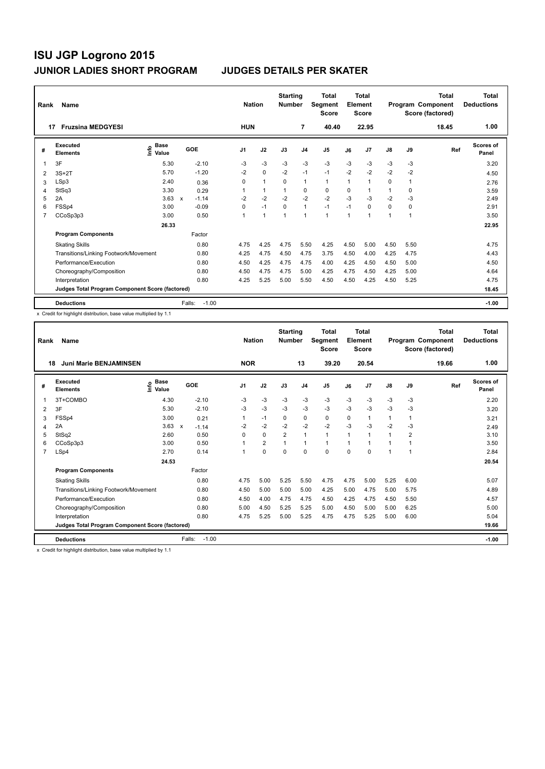| Rank           | Name                                            |                              | <b>Nation</b>           |                | <b>Starting</b><br><b>Number</b> |                | <b>Total</b><br>Segment<br><b>Score</b> |                | <b>Total</b><br>Element<br><b>Score</b> |                |               | <b>Total</b><br>Program Component<br>Score (factored) | <b>Total</b><br><b>Deductions</b> |                    |
|----------------|-------------------------------------------------|------------------------------|-------------------------|----------------|----------------------------------|----------------|-----------------------------------------|----------------|-----------------------------------------|----------------|---------------|-------------------------------------------------------|-----------------------------------|--------------------|
| 17             | <b>Fruzsina MEDGYESI</b>                        |                              |                         | <b>HUN</b>     |                                  |                | 7                                       | 40.40          |                                         | 22.95          |               |                                                       | 18.45                             | 1.00               |
| #              | Executed<br><b>Elements</b>                     | <b>Base</b><br>lnfo<br>Value | GOE                     | J <sub>1</sub> | J2                               | J3             | J <sub>4</sub>                          | J <sub>5</sub> | J6                                      | J <sub>7</sub> | $\mathsf{J}8$ | J9                                                    | Ref                               | Scores of<br>Panel |
| 1              | 3F                                              | 5.30                         | $-2.10$                 | -3             | $-3$                             | $-3$           | $-3$                                    | $-3$           | $-3$                                    | $-3$           | $-3$          | $-3$                                                  |                                   | 3.20               |
| 2              | $3S+2T$                                         | 5.70                         | $-1.20$                 | $-2$           | $\Omega$                         | $-2$           | $-1$                                    | $-1$           | $-2$                                    | $-2$           | $-2$          | $-2$                                                  |                                   | 4.50               |
| 3              | LSp3                                            | 2.40                         | 0.36                    | 0              | $\overline{1}$                   | $\Omega$       | $\mathbf{1}$                            | $\mathbf{1}$   | 1                                       | 1              | 0             | 1                                                     |                                   | 2.76               |
| 4              | StSq3                                           | 3.30                         | 0.29                    |                | $\overline{1}$                   | $\overline{1}$ | 0                                       | 0              | 0                                       |                | 1             | 0                                                     |                                   | 3.59               |
| 5              | 2A                                              | 3.63                         | $-1.14$<br>$\mathsf{x}$ | $-2$           | $-2$                             | $-2$           | $-2$                                    | $-2$           | $-3$                                    | $-3$           | $-2$          | $-3$                                                  |                                   | 2.49               |
| 6              | FSSp4                                           | 3.00                         | $-0.09$                 | 0              | $-1$                             | $\mathbf 0$    | $\mathbf{1}$                            | $-1$           | $-1$                                    | $\Omega$       | 0             | 0                                                     |                                   | 2.91               |
| $\overline{7}$ | CCoSp3p3                                        | 3.00                         | 0.50                    | 1              | $\overline{1}$                   | 1              | $\overline{1}$                          | $\mathbf{1}$   | $\mathbf{1}$                            | 1              | 1             | 1                                                     |                                   | 3.50               |
|                |                                                 | 26.33                        |                         |                |                                  |                |                                         |                |                                         |                |               |                                                       |                                   | 22.95              |
|                | <b>Program Components</b>                       |                              | Factor                  |                |                                  |                |                                         |                |                                         |                |               |                                                       |                                   |                    |
|                | <b>Skating Skills</b>                           |                              | 0.80                    | 4.75           | 4.25                             | 4.75           | 5.50                                    | 4.25           | 4.50                                    | 5.00           | 4.50          | 5.50                                                  |                                   | 4.75               |
|                | Transitions/Linking Footwork/Movement           |                              | 0.80                    | 4.25           | 4.75                             | 4.50           | 4.75                                    | 3.75           | 4.50                                    | 4.00           | 4.25          | 4.75                                                  |                                   | 4.43               |
|                | Performance/Execution                           |                              | 0.80                    | 4.50           | 4.25                             | 4.75           | 4.75                                    | 4.00           | 4.25                                    | 4.50           | 4.50          | 5.00                                                  |                                   | 4.50               |
|                | Choreography/Composition                        |                              | 0.80                    | 4.50           | 4.75                             | 4.75           | 5.00                                    | 4.25           | 4.75                                    | 4.50           | 4.25          | 5.00                                                  |                                   | 4.64               |
|                | Interpretation                                  |                              | 0.80                    | 4.25           | 5.25                             | 5.00           | 5.50                                    | 4.50           | 4.50                                    | 4.25           | 4.50          | 5.25                                                  |                                   | 4.75               |
|                | Judges Total Program Component Score (factored) |                              |                         |                |                                  |                |                                         |                |                                         |                |               |                                                       |                                   | 18.45              |
|                | <b>Deductions</b>                               |                              | $-1.00$<br>Falls:       |                |                                  |                |                                         |                |                                         |                |               |                                                       |                                   | $-1.00$            |

x Credit for highlight distribution, base value multiplied by 1.1

| Rank           | Name<br>Juni Marie BENJAMINSEN<br>18            |                            |                         |            | <b>Nation</b>  | <b>Starting</b><br><b>Number</b> |                | Total<br>Segment<br><b>Score</b> |      | <b>Total</b><br>Element<br><b>Score</b> |               |                | <b>Total</b><br>Program Component<br>Score (factored) | <b>Total</b><br><b>Deductions</b> |
|----------------|-------------------------------------------------|----------------------------|-------------------------|------------|----------------|----------------------------------|----------------|----------------------------------|------|-----------------------------------------|---------------|----------------|-------------------------------------------------------|-----------------------------------|
|                |                                                 |                            |                         | <b>NOR</b> |                |                                  | 13             | 39.20                            |      | 20.54                                   |               |                | 19.66                                                 | 1.00                              |
| #              | Executed<br><b>Elements</b>                     | $\sum_{k=1}^{\infty}$ Pase | GOE                     | J1         | J2             | J3                               | J <sub>4</sub> | J <sub>5</sub>                   | J6   | J <sub>7</sub>                          | $\mathsf{J}8$ | J9             | Ref                                                   | <b>Scores of</b><br>Panel         |
| 1              | 3T+COMBO                                        | 4.30                       | $-2.10$                 | $-3$       | $-3$           | $-3$                             | $-3$           | $-3$                             | $-3$ | $-3$                                    | $-3$          | $-3$           |                                                       | 2.20                              |
| 2              | 3F                                              | 5.30                       | $-2.10$                 | $-3$       | $-3$           | $-3$                             | $-3$           | $-3$                             | $-3$ | $-3$                                    | $-3$          | $-3$           |                                                       | 3.20                              |
| 3              | FSSp4                                           | 3.00                       | 0.21                    | 1          | $-1$           | 0                                | 0              | 0                                | 0    | 1                                       | $\mathbf{1}$  | 1              |                                                       | 3.21                              |
| 4              | 2A                                              | 3.63                       | $\mathsf{x}$<br>$-1.14$ | $-2$       | $-2$           | $-2$                             | $-2$           | $-2$                             | $-3$ | $-3$                                    | $-2$          | $-3$           |                                                       | 2.49                              |
| 5              | StSq2                                           | 2.60                       | 0.50                    | $\Omega$   | $\Omega$       | $\overline{2}$                   | $\mathbf{1}$   | 1                                | 1    | $\blacktriangleleft$                    | $\mathbf 1$   | $\overline{2}$ |                                                       | 3.10                              |
| 6              | CCoSp3p3                                        | 3.00                       | 0.50                    | 1          | $\overline{2}$ | 1                                | $\mathbf{1}$   | $\mathbf{1}$                     | 1    | 1                                       | 1             |                |                                                       | 3.50                              |
| $\overline{7}$ | LSp4                                            | 2.70                       | 0.14                    | 1          | $\Omega$       | $\Omega$                         | $\Omega$       | $\Omega$                         | 0    | 0                                       | 1             | 1              |                                                       | 2.84                              |
|                |                                                 | 24.53                      |                         |            |                |                                  |                |                                  |      |                                         |               |                |                                                       | 20.54                             |
|                | <b>Program Components</b>                       |                            | Factor                  |            |                |                                  |                |                                  |      |                                         |               |                |                                                       |                                   |
|                | <b>Skating Skills</b>                           |                            | 0.80                    | 4.75       | 5.00           | 5.25                             | 5.50           | 4.75                             | 4.75 | 5.00                                    | 5.25          | 6.00           |                                                       | 5.07                              |
|                | Transitions/Linking Footwork/Movement           |                            | 0.80                    | 4.50       | 5.00           | 5.00                             | 5.00           | 4.25                             | 5.00 | 4.75                                    | 5.00          | 5.75           |                                                       | 4.89                              |
|                | Performance/Execution                           |                            | 0.80                    | 4.50       | 4.00           | 4.75                             | 4.75           | 4.50                             | 4.25 | 4.75                                    | 4.50          | 5.50           |                                                       | 4.57                              |
|                | Choreography/Composition                        |                            | 0.80                    | 5.00       | 4.50           | 5.25                             | 5.25           | 5.00                             | 4.50 | 5.00                                    | 5.00          | 6.25           |                                                       | 5.00                              |
|                | Interpretation                                  |                            | 0.80                    | 4.75       | 5.25           | 5.00                             | 5.25           | 4.75                             | 4.75 | 5.25                                    | 5.00          | 6.00           |                                                       | 5.04                              |
|                | Judges Total Program Component Score (factored) |                            |                         |            |                |                                  |                |                                  |      |                                         |               |                |                                                       | 19.66                             |
|                | <b>Deductions</b>                               |                            | Falls:<br>$-1.00$       |            |                |                                  |                |                                  |      |                                         |               |                |                                                       | $-1.00$                           |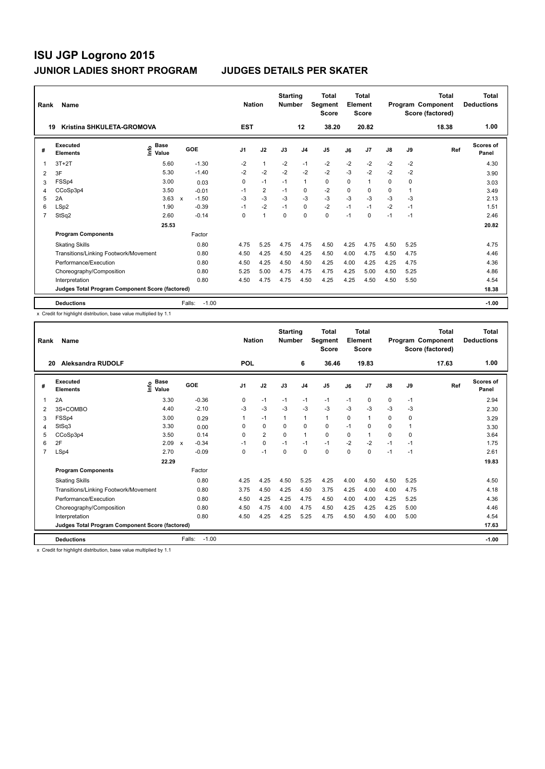| Rank           | Name                                            |                                  | <b>Nation</b>           |                | <b>Starting</b><br><b>Number</b> |             | <b>Total</b><br>Segment<br><b>Score</b> |                | <b>Total</b><br>Element<br><b>Score</b> |       |      | <b>Total</b><br>Program Component<br>Score (factored) | <b>Total</b><br><b>Deductions</b> |                           |
|----------------|-------------------------------------------------|----------------------------------|-------------------------|----------------|----------------------------------|-------------|-----------------------------------------|----------------|-----------------------------------------|-------|------|-------------------------------------------------------|-----------------------------------|---------------------------|
| 19             | Kristina SHKULETA-GROMOVA                       |                                  |                         | <b>EST</b>     |                                  |             | 12                                      | 38.20          |                                         | 20.82 |      |                                                       | 18.38                             | 1.00                      |
| #              | Executed<br><b>Elements</b>                     | <b>Base</b><br>e Base<br>⊆ Value | GOE                     | J <sub>1</sub> | J2                               | J3          | J <sub>4</sub>                          | J <sub>5</sub> | J6                                      | J7    | J8   | J9                                                    | Ref                               | <b>Scores of</b><br>Panel |
| 1              | $3T+2T$                                         | 5.60                             | $-1.30$                 | $-2$           | $\mathbf{1}$                     | $-2$        | $-1$                                    | $-2$           | $-2$                                    | $-2$  | $-2$ | $-2$                                                  |                                   | 4.30                      |
| 2              | 3F                                              | 5.30                             | $-1.40$                 | $-2$           | $-2$                             | $-2$        | $-2$                                    | $-2$           | $-3$                                    | $-2$  | $-2$ | $-2$                                                  |                                   | 3.90                      |
| 3              | FSSp4                                           | 3.00                             | 0.03                    | 0              | $-1$                             | $-1$        | $\mathbf{1}$                            | 0              | $\Omega$                                | 1     | 0    | 0                                                     |                                   | 3.03                      |
| 4              | CCoSp3p4                                        | 3.50                             | $-0.01$                 | $-1$           | $\overline{2}$                   | $-1$        | 0                                       | $-2$           | 0                                       | 0     | 0    | 1                                                     |                                   | 3.49                      |
| 5              | 2A                                              | 3.63                             | $-1.50$<br>$\mathsf{x}$ | $-3$           | $-3$                             | $-3$        | $-3$                                    | $-3$           | $-3$                                    | $-3$  | $-3$ | $-3$                                                  |                                   | 2.13                      |
| 6              | LSp2                                            | 1.90                             | $-0.39$                 | $-1$           | $-2$                             | $-1$        | $\mathbf 0$                             | $-2$           | $-1$                                    | $-1$  | $-2$ | $-1$                                                  |                                   | 1.51                      |
| $\overline{7}$ | StSq2                                           | 2.60                             | $-0.14$                 | 0              | $\mathbf{1}$                     | $\mathbf 0$ | $\mathbf 0$                             | $\mathbf 0$    | $-1$                                    | 0     | $-1$ | $-1$                                                  |                                   | 2.46                      |
|                |                                                 | 25.53                            |                         |                |                                  |             |                                         |                |                                         |       |      |                                                       |                                   | 20.82                     |
|                | <b>Program Components</b>                       |                                  | Factor                  |                |                                  |             |                                         |                |                                         |       |      |                                                       |                                   |                           |
|                | <b>Skating Skills</b>                           |                                  | 0.80                    | 4.75           | 5.25                             | 4.75        | 4.75                                    | 4.50           | 4.25                                    | 4.75  | 4.50 | 5.25                                                  |                                   | 4.75                      |
|                | Transitions/Linking Footwork/Movement           |                                  | 0.80                    | 4.50           | 4.25                             | 4.50        | 4.25                                    | 4.50           | 4.00                                    | 4.75  | 4.50 | 4.75                                                  |                                   | 4.46                      |
|                | Performance/Execution                           |                                  | 0.80                    | 4.50           | 4.25                             | 4.50        | 4.50                                    | 4.25           | 4.00                                    | 4.25  | 4.25 | 4.75                                                  |                                   | 4.36                      |
|                | Choreography/Composition                        |                                  | 0.80                    | 5.25           | 5.00                             | 4.75        | 4.75                                    | 4.75           | 4.25                                    | 5.00  | 4.50 | 5.25                                                  |                                   | 4.86                      |
|                | Interpretation                                  |                                  | 0.80                    | 4.50           | 4.75                             | 4.75        | 4.50                                    | 4.25           | 4.25                                    | 4.50  | 4.50 | 5.50                                                  |                                   | 4.54                      |
|                | Judges Total Program Component Score (factored) |                                  |                         |                |                                  |             |                                         |                |                                         |       |      |                                                       |                                   | 18.38                     |
|                | <b>Deductions</b>                               |                                  | $-1.00$<br>Falls:       |                |                                  |             |                                         |                |                                         |       |      |                                                       |                                   | $-1.00$                   |

x Credit for highlight distribution, base value multiplied by 1.1

| Rank | Name                                            |                    | <b>Nation</b>                        |                | <b>Starting</b><br><b>Number</b> |              | <b>Total</b><br>Segment<br><b>Score</b> |                | Total<br>Element<br><b>Score</b> |                |      | <b>Total</b><br>Program Component<br>Score (factored) | <b>Total</b><br><b>Deductions</b> |                           |
|------|-------------------------------------------------|--------------------|--------------------------------------|----------------|----------------------------------|--------------|-----------------------------------------|----------------|----------------------------------|----------------|------|-------------------------------------------------------|-----------------------------------|---------------------------|
| 20   | Aleksandra RUDOLF                               |                    |                                      | <b>POL</b>     |                                  |              | 6                                       | 36.46          |                                  | 19.83          |      |                                                       | 17.63                             | 1.00                      |
| #    | Executed<br><b>Elements</b>                     | $\frac{e}{E}$ Base | GOE                                  | J <sub>1</sub> | J2                               | J3           | J <sub>4</sub>                          | J <sub>5</sub> | J6                               | J <sub>7</sub> | J8   | J9                                                    | Ref                               | <b>Scores of</b><br>Panel |
| 1    | 2A                                              | 3.30               | $-0.36$                              | $\Omega$       | $-1$                             | $-1$         | $-1$                                    | $-1$           | $-1$                             | 0              | 0    | $-1$                                                  |                                   | 2.94                      |
| 2    | 3S+COMBO                                        | 4.40               | $-2.10$                              | $-3$           | $-3$                             | $-3$         | $-3$                                    | $-3$           | $-3$                             | $-3$           | $-3$ | $-3$                                                  |                                   | 2.30                      |
| 3    | FSSp4                                           | 3.00               | 0.29                                 | 1              | $-1$                             | $\mathbf{1}$ | $\mathbf{1}$                            | $\mathbf{1}$   | 0                                | 1              | 0    | 0                                                     |                                   | 3.29                      |
| 4    | StSq3                                           | 3.30               | 0.00                                 | 0              | $\Omega$                         | $\Omega$     | $\Omega$                                | 0              | $-1$                             | $\Omega$       | 0    | 1                                                     |                                   | 3.30                      |
| 5    | CCoSp3p4                                        | 3.50               | 0.14                                 | $\Omega$       | $\overline{2}$                   | $\Omega$     | $\mathbf{1}$                            | 0              | $\Omega$                         | 1              | 0    | $\Omega$                                              |                                   | 3.64                      |
| 6    | 2F                                              | 2.09               | $-0.34$<br>$\boldsymbol{\mathsf{x}}$ | $-1$           | 0                                | $-1$         | $-1$                                    | $-1$           | $-2$                             | $-2$           | $-1$ | $-1$                                                  |                                   | 1.75                      |
| 7    | LSp4                                            | 2.70               | $-0.09$                              | $\Omega$       | $-1$                             | $\Omega$     | $\Omega$                                | $\Omega$       | $\Omega$                         | $\Omega$       | $-1$ | $-1$                                                  |                                   | 2.61                      |
|      |                                                 | 22.29              |                                      |                |                                  |              |                                         |                |                                  |                |      |                                                       |                                   | 19.83                     |
|      | <b>Program Components</b>                       |                    | Factor                               |                |                                  |              |                                         |                |                                  |                |      |                                                       |                                   |                           |
|      | <b>Skating Skills</b>                           |                    | 0.80                                 | 4.25           | 4.25                             | 4.50         | 5.25                                    | 4.25           | 4.00                             | 4.50           | 4.50 | 5.25                                                  |                                   | 4.50                      |
|      | Transitions/Linking Footwork/Movement           |                    | 0.80                                 | 3.75           | 4.50                             | 4.25         | 4.50                                    | 3.75           | 4.25                             | 4.00           | 4.00 | 4.75                                                  |                                   | 4.18                      |
|      | Performance/Execution                           |                    | 0.80                                 | 4.50           | 4.25                             | 4.25         | 4.75                                    | 4.50           | 4.00                             | 4.00           | 4.25 | 5.25                                                  |                                   | 4.36                      |
|      | Choreography/Composition                        |                    | 0.80                                 | 4.50           | 4.75                             | 4.00         | 4.75                                    | 4.50           | 4.25                             | 4.25           | 4.25 | 5.00                                                  |                                   | 4.46                      |
|      | Interpretation                                  |                    | 0.80                                 | 4.50           | 4.25                             | 4.25         | 5.25                                    | 4.75           | 4.50                             | 4.50           | 4.00 | 5.00                                                  |                                   | 4.54                      |
|      | Judges Total Program Component Score (factored) |                    |                                      |                |                                  |              |                                         |                |                                  |                |      |                                                       |                                   | 17.63                     |
|      | <b>Deductions</b>                               |                    | $-1.00$<br>Falls:                    |                |                                  |              |                                         |                |                                  |                |      |                                                       |                                   | $-1.00$                   |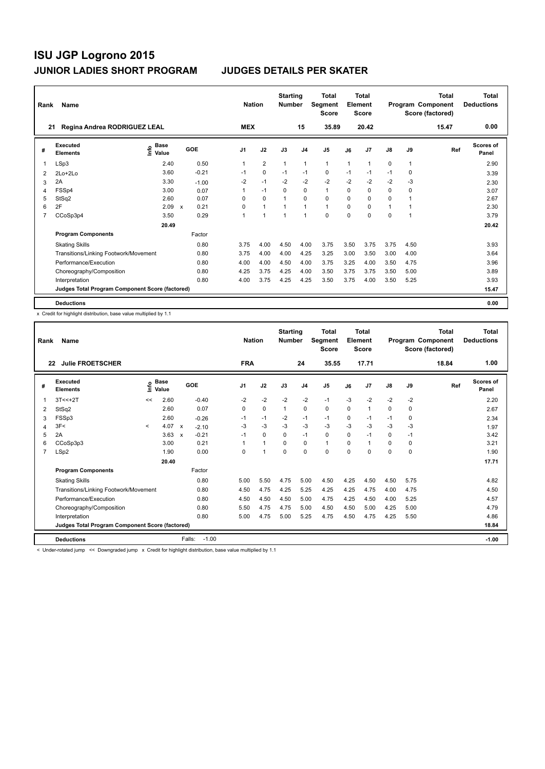| Rank           | Name                                            |                                    |                           |         |                | <b>Nation</b>  | <b>Starting</b><br><b>Number</b> |                | Total<br>Segment<br><b>Score</b> |          | <b>Total</b><br>Element<br><b>Score</b> |               |      | <b>Total</b><br>Program Component<br>Score (factored) | <b>Total</b><br><b>Deductions</b> |
|----------------|-------------------------------------------------|------------------------------------|---------------------------|---------|----------------|----------------|----------------------------------|----------------|----------------------------------|----------|-----------------------------------------|---------------|------|-------------------------------------------------------|-----------------------------------|
| 21             | Regina Andrea RODRIGUEZ LEAL                    |                                    |                           |         | <b>MEX</b>     |                |                                  | 15             | 35.89                            |          | 20.42                                   |               |      | 15.47                                                 | 0.00                              |
| #              | Executed<br><b>Elements</b>                     | <b>Base</b><br>$\frac{6}{5}$ Value | GOE                       |         | J <sub>1</sub> | J2             | J3                               | J <sub>4</sub> | J <sub>5</sub>                   | J6       | J7                                      | $\mathsf{J}8$ | J9   | Ref                                                   | Scores of<br>Panel                |
| $\mathbf 1$    | LSp3                                            | 2.40                               |                           | 0.50    | 1              | $\overline{2}$ | 1                                | $\mathbf{1}$   | $\mathbf{1}$                     | 1        | $\overline{1}$                          | 0             | 1    |                                                       | 2.90                              |
| 2              | $2Lo+2Lo$                                       | 3.60                               |                           | $-0.21$ | $-1$           | $\mathbf 0$    | $-1$                             | $-1$           | $\mathbf 0$                      | $-1$     | $-1$                                    | $-1$          | 0    |                                                       | 3.39                              |
| 3              | 2A                                              | 3.30                               |                           | $-1.00$ | $-2$           | $-1$           | $-2$                             | $-2$           | $-2$                             | $-2$     | $-2$                                    | $-2$          | $-3$ |                                                       | 2.30                              |
| 4              | FSSp4                                           | 3.00                               |                           | 0.07    | 1              | $-1$           | $\Omega$                         | $\mathbf 0$    | $\mathbf{1}$                     | $\Omega$ | 0                                       | 0             | 0    |                                                       | 3.07                              |
| 5              | StSq2                                           | 2.60                               |                           | 0.07    | $\Omega$       | $\mathbf 0$    |                                  | $\Omega$       | $\Omega$                         | $\Omega$ | 0                                       | 0             |      |                                                       | 2.67                              |
| 6              | 2F                                              | 2.09                               | $\boldsymbol{\mathsf{x}}$ | 0.21    | $\Omega$       | $\mathbf{1}$   |                                  | $\overline{1}$ | $\mathbf{1}$                     | $\Omega$ | 0                                       | $\mathbf 1$   |      |                                                       | 2.30                              |
| $\overline{7}$ | CCoSp3p4                                        | 3.50                               |                           | 0.29    | 1              | $\overline{1}$ | 1                                | $\mathbf{1}$   | $\Omega$                         | $\Omega$ | 0                                       | 0             | 1    |                                                       | 3.79                              |
|                |                                                 | 20.49                              |                           |         |                |                |                                  |                |                                  |          |                                         |               |      |                                                       | 20.42                             |
|                | <b>Program Components</b>                       |                                    |                           | Factor  |                |                |                                  |                |                                  |          |                                         |               |      |                                                       |                                   |
|                | <b>Skating Skills</b>                           |                                    |                           | 0.80    | 3.75           | 4.00           | 4.50                             | 4.00           | 3.75                             | 3.50     | 3.75                                    | 3.75          | 4.50 |                                                       | 3.93                              |
|                | Transitions/Linking Footwork/Movement           |                                    |                           | 0.80    | 3.75           | 4.00           | 4.00                             | 4.25           | 3.25                             | 3.00     | 3.50                                    | 3.00          | 4.00 |                                                       | 3.64                              |
|                | Performance/Execution                           |                                    |                           | 0.80    | 4.00           | 4.00           | 4.50                             | 4.00           | 3.75                             | 3.25     | 4.00                                    | 3.50          | 4.75 |                                                       | 3.96                              |
|                | Choreography/Composition                        |                                    |                           | 0.80    | 4.25           | 3.75           | 4.25                             | 4.00           | 3.50                             | 3.75     | 3.75                                    | 3.50          | 5.00 |                                                       | 3.89                              |
|                | Interpretation                                  |                                    |                           | 0.80    | 4.00           | 3.75           | 4.25                             | 4.25           | 3.50                             | 3.75     | 4.00                                    | 3.50          | 5.25 |                                                       | 3.93                              |
|                | Judges Total Program Component Score (factored) |                                    |                           |         |                |                |                                  |                |                                  |          |                                         |               |      |                                                       | 15.47                             |
|                | <b>Deductions</b>                               |                                    |                           |         |                |                |                                  |                |                                  |          |                                         |               |      |                                                       | 0.00                              |

x Credit for highlight distribution, base value multiplied by 1.1

| Rank           | Name                                            |         | <b>Nation</b>        | <b>Starting</b><br><b>Number</b>     |            | <b>Total</b><br>Segment<br><b>Score</b> |              | Total<br>Element<br><b>Score</b> |                |          | <b>Total</b><br>Program Component<br>Score (factored) | <b>Total</b><br><b>Deductions</b> |          |       |                    |
|----------------|-------------------------------------------------|---------|----------------------|--------------------------------------|------------|-----------------------------------------|--------------|----------------------------------|----------------|----------|-------------------------------------------------------|-----------------------------------|----------|-------|--------------------|
| 22             | <b>Julie FROETSCHER</b>                         |         |                      |                                      | <b>FRA</b> |                                         |              | 24                               | 35.55          |          | 17.71                                                 |                                   |          | 18.84 | 1.00               |
| #              | Executed<br><b>Elements</b>                     | e       | <b>Base</b><br>Value | GOE                                  | J1         | J2                                      | J3           | J <sub>4</sub>                   | J <sub>5</sub> | J6       | J <sub>7</sub>                                        | $\mathsf{J}8$                     | J9       | Ref   | Scores of<br>Panel |
|                | $3T < +2T$                                      | <<      | 2.60                 | $-0.40$                              | $-2$       | $-2$                                    | $-2$         | $-2$                             | $-1$           | $-3$     | $-2$                                                  | $-2$                              | $-2$     |       | 2.20               |
| 2              | StSq2                                           |         | 2.60                 | 0.07                                 | 0          | 0                                       | $\mathbf{1}$ | 0                                | 0              | 0        | 1                                                     | 0                                 | 0        |       | 2.67               |
| 3              | FSSp3                                           |         | 2.60                 | $-0.26$                              | $-1$       | $-1$                                    | $-2$         | $-1$                             | $-1$           | 0        | $-1$                                                  | $-1$                              | 0        |       | 2.34               |
| 4              | 3F<                                             | $\prec$ | 4.07                 | $-2.10$<br>$\boldsymbol{\mathsf{x}}$ | $-3$       | $-3$                                    | $-3$         | $-3$                             | $-3$           | $-3$     | $-3$                                                  | $-3$                              | $-3$     |       | 1.97               |
| 5              | 2A                                              |         | 3.63                 | $-0.21$<br>$\boldsymbol{\mathsf{x}}$ | $-1$       | $\Omega$                                | $\Omega$     | $-1$                             | 0              | $\Omega$ | $-1$                                                  | 0                                 | $-1$     |       | 3.42               |
| 6              | CCoSp3p3                                        |         | 3.00                 | 0.21                                 | 1          | $\mathbf{1}$                            | $\Omega$     | $\Omega$                         | $\mathbf{1}$   | $\Omega$ | $\blacktriangleleft$                                  | 0                                 | $\Omega$ |       | 3.21               |
| $\overline{7}$ | LSp2                                            |         | 1.90                 | 0.00                                 | $\Omega$   | $\mathbf{1}$                            | $\Omega$     | $\Omega$                         | $\Omega$       | 0        | 0                                                     | 0                                 | $\Omega$ |       | 1.90               |
|                |                                                 |         | 20.40                |                                      |            |                                         |              |                                  |                |          |                                                       |                                   |          |       | 17.71              |
|                | <b>Program Components</b>                       |         |                      | Factor                               |            |                                         |              |                                  |                |          |                                                       |                                   |          |       |                    |
|                | <b>Skating Skills</b>                           |         |                      | 0.80                                 | 5.00       | 5.50                                    | 4.75         | 5.00                             | 4.50           | 4.25     | 4.50                                                  | 4.50                              | 5.75     |       | 4.82               |
|                | Transitions/Linking Footwork/Movement           |         |                      | 0.80                                 | 4.50       | 4.75                                    | 4.25         | 5.25                             | 4.25           | 4.25     | 4.75                                                  | 4.00                              | 4.75     |       | 4.50               |
|                | Performance/Execution                           |         |                      | 0.80                                 | 4.50       | 4.50                                    | 4.50         | 5.00                             | 4.75           | 4.25     | 4.50                                                  | 4.00                              | 5.25     |       | 4.57               |
|                | Choreography/Composition                        |         |                      | 0.80                                 | 5.50       | 4.75                                    | 4.75         | 5.00                             | 4.50           | 4.50     | 5.00                                                  | 4.25                              | 5.00     |       | 4.79               |
|                | Interpretation                                  |         |                      | 0.80                                 | 5.00       | 4.75                                    | 5.00         | 5.25                             | 4.75           | 4.50     | 4.75                                                  | 4.25                              | 5.50     |       | 4.86               |
|                | Judges Total Program Component Score (factored) |         |                      |                                      |            |                                         |              |                                  |                |          |                                                       |                                   |          |       | 18.84              |
|                | <b>Deductions</b>                               |         |                      | Falls:<br>$-1.00$                    |            |                                         |              |                                  |                |          |                                                       |                                   |          |       | $-1.00$            |

< Under-rotated jump << Downgraded jump x Credit for highlight distribution, base value multiplied by 1.1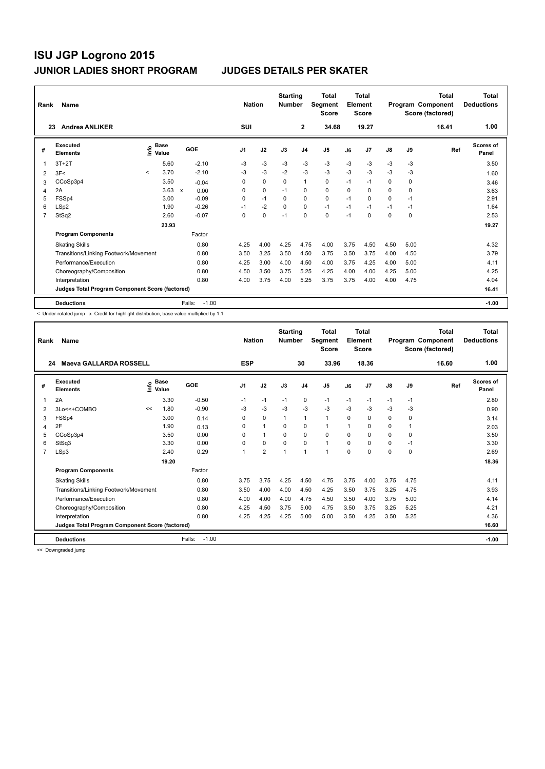| Rank | Name                                            |         |                      |              |         | <b>Nation</b>  |             | <b>Starting</b><br><b>Number</b> |                | Total<br>Segment<br><b>Score</b> |          | <b>Total</b><br>Element<br><b>Score</b> |          |      | <b>Total</b><br>Program Component<br>Score (factored) | <b>Total</b><br><b>Deductions</b> |
|------|-------------------------------------------------|---------|----------------------|--------------|---------|----------------|-------------|----------------------------------|----------------|----------------------------------|----------|-----------------------------------------|----------|------|-------------------------------------------------------|-----------------------------------|
| 23   | <b>Andrea ANLIKER</b>                           |         |                      |              |         | <b>SUI</b>     |             |                                  | $\mathbf{2}$   | 34.68                            |          | 19.27                                   |          |      | 16.41                                                 | 1.00                              |
| #    | Executed<br><b>Elements</b>                     | lnfo    | <b>Base</b><br>Value |              | GOE     | J <sub>1</sub> | J2          | J3                               | J <sub>4</sub> | J <sub>5</sub>                   | J6       | J7                                      | J8       | J9   | Ref                                                   | <b>Scores of</b><br>Panel         |
| 1    | $3T+2T$                                         |         | 5.60                 |              | $-2.10$ | $-3$           | $-3$        | $-3$                             | $-3$           | $-3$                             | $-3$     | $-3$                                    | $-3$     | $-3$ |                                                       | 3.50                              |
| 2    | 3F<                                             | $\prec$ | 3.70                 |              | $-2.10$ | $-3$           | $-3$        | $-2$                             | $-3$           | $-3$                             | $-3$     | $-3$                                    | $-3$     | $-3$ |                                                       | 1.60                              |
| 3    | CCoSp3p4                                        |         | 3.50                 |              | $-0.04$ | 0              | 0           | $\Omega$                         | $\mathbf{1}$   | $\mathbf 0$                      | $-1$     | $-1$                                    | 0        | 0    |                                                       | 3.46                              |
| 4    | 2A                                              |         | 3.63                 | $\mathsf{x}$ | 0.00    | 0              | $\Omega$    | $-1$                             | $\Omega$       | $\Omega$                         | $\Omega$ | $\Omega$                                | $\Omega$ | 0    |                                                       | 3.63                              |
| 5    | FSSp4                                           |         | 3.00                 |              | $-0.09$ | 0              | $-1$        | $\mathbf 0$                      | $\mathbf 0$    | $\mathbf 0$                      | $-1$     | 0                                       | 0        | $-1$ |                                                       | 2.91                              |
| 6    | LSp2                                            |         | 1.90                 |              | $-0.26$ | $-1$           | $-2$        | 0                                | 0              | $-1$                             | $-1$     | $-1$                                    | $-1$     | $-1$ |                                                       | 1.64                              |
| 7    | StSq2                                           |         | 2.60                 |              | $-0.07$ | 0              | $\mathbf 0$ | $-1$                             | $\mathbf 0$    | $\mathbf 0$                      | $-1$     | $\Omega$                                | 0        | 0    |                                                       | 2.53                              |
|      |                                                 |         | 23.93                |              |         |                |             |                                  |                |                                  |          |                                         |          |      |                                                       | 19.27                             |
|      | <b>Program Components</b>                       |         |                      |              | Factor  |                |             |                                  |                |                                  |          |                                         |          |      |                                                       |                                   |
|      | <b>Skating Skills</b>                           |         |                      |              | 0.80    | 4.25           | 4.00        | 4.25                             | 4.75           | 4.00                             | 3.75     | 4.50                                    | 4.50     | 5.00 |                                                       | 4.32                              |
|      | Transitions/Linking Footwork/Movement           |         |                      |              | 0.80    | 3.50           | 3.25        | 3.50                             | 4.50           | 3.75                             | 3.50     | 3.75                                    | 4.00     | 4.50 |                                                       | 3.79                              |
|      | Performance/Execution                           |         |                      |              | 0.80    | 4.25           | 3.00        | 4.00                             | 4.50           | 4.00                             | 3.75     | 4.25                                    | 4.00     | 5.00 |                                                       | 4.11                              |
|      | Choreography/Composition                        |         |                      |              | 0.80    | 4.50           | 3.50        | 3.75                             | 5.25           | 4.25                             | 4.00     | 4.00                                    | 4.25     | 5.00 |                                                       | 4.25                              |
|      | Interpretation                                  |         |                      |              | 0.80    | 4.00           | 3.75        | 4.00                             | 5.25           | 3.75                             | 3.75     | 4.00                                    | 4.00     | 4.75 |                                                       | 4.04                              |
|      | Judges Total Program Component Score (factored) |         |                      |              |         |                |             |                                  |                |                                  |          |                                         |          |      |                                                       | 16.41                             |
|      | <b>Deductions</b>                               |         |                      | Falls:       | $-1.00$ |                |             |                                  |                |                                  |          |                                         |          |      |                                                       | $-1.00$                           |

< Under-rotated jump x Credit for highlight distribution, base value multiplied by 1.1

| Rank           | Name                                            |    | <b>Nation</b>                             |                   | <b>Starting</b><br><b>Number</b> |                | <b>Total</b><br>Segment<br><b>Score</b> |                | <b>Total</b><br>Element<br><b>Score</b> |          |                | Total<br>Program Component<br>Score (factored) | <b>Total</b><br><b>Deductions</b> |       |                           |
|----------------|-------------------------------------------------|----|-------------------------------------------|-------------------|----------------------------------|----------------|-----------------------------------------|----------------|-----------------------------------------|----------|----------------|------------------------------------------------|-----------------------------------|-------|---------------------------|
| 24             | <b>Maeva GALLARDA ROSSELL</b>                   |    |                                           |                   | <b>ESP</b>                       |                |                                         | 30             | 33.96                                   |          | 18.36          |                                                |                                   | 16.60 | 1.00                      |
| #              | <b>Executed</b><br><b>Elements</b>              |    | $\frac{e}{E}$ Base<br>$\frac{E}{E}$ Value | GOE               | J1                               | J2             | J3                                      | J <sub>4</sub> | J <sub>5</sub>                          | J6       | J <sub>7</sub> | J8                                             | J9                                | Ref   | <b>Scores of</b><br>Panel |
| 1              | 2A                                              |    | 3.30                                      | $-0.50$           | $-1$                             | $-1$           | $-1$                                    | 0              | $-1$                                    | $-1$     | $-1$           | $-1$                                           | $-1$                              |       | 2.80                      |
| 2              | 3Lo<<+COMBO                                     | << | 1.80                                      | $-0.90$           | $-3$                             | $-3$           | $-3$                                    | $-3$           | $-3$                                    | $-3$     | $-3$           | $-3$                                           | -3                                |       | 0.90                      |
| 3              | FSSp4                                           |    | 3.00                                      | 0.14              | 0                                | 0              | 1                                       | 1              | $\mathbf{1}$                            | 0        | 0              | 0                                              | 0                                 |       | 3.14                      |
| 4              | 2F                                              |    | 1.90                                      | 0.13              | 0                                | $\mathbf{1}$   | $\Omega$                                | $\Omega$       | $\mathbf{1}$                            | 1        | $\Omega$       | 0                                              | 1                                 |       | 2.03                      |
| 5              | CCoSp3p4                                        |    | 3.50                                      | 0.00              | $\Omega$                         | $\mathbf{1}$   | $\Omega$                                | $\Omega$       | 0                                       | $\Omega$ | $\Omega$       | 0                                              | $\Omega$                          |       | 3.50                      |
| 6              | StSq3                                           |    | 3.30                                      | 0.00              | 0                                | 0              | $\Omega$                                | $\Omega$       | $\blacktriangleleft$                    | $\Omega$ | $\Omega$       | 0                                              | $-1$                              |       | 3.30                      |
| $\overline{7}$ | LSp3                                            |    | 2.40                                      | 0.29              |                                  | $\overline{2}$ | $\overline{ }$                          | 1              | 1                                       | $\Omega$ | $\Omega$       | 0                                              | $\Omega$                          |       | 2.69                      |
|                |                                                 |    | 19.20                                     |                   |                                  |                |                                         |                |                                         |          |                |                                                |                                   |       | 18.36                     |
|                | <b>Program Components</b>                       |    |                                           | Factor            |                                  |                |                                         |                |                                         |          |                |                                                |                                   |       |                           |
|                | <b>Skating Skills</b>                           |    |                                           | 0.80              | 3.75                             | 3.75           | 4.25                                    | 4.50           | 4.75                                    | 3.75     | 4.00           | 3.75                                           | 4.75                              |       | 4.11                      |
|                | Transitions/Linking Footwork/Movement           |    |                                           | 0.80              | 3.50                             | 4.00           | 4.00                                    | 4.50           | 4.25                                    | 3.50     | 3.75           | 3.25                                           | 4.75                              |       | 3.93                      |
|                | Performance/Execution                           |    |                                           | 0.80              | 4.00                             | 4.00           | 4.00                                    | 4.75           | 4.50                                    | 3.50     | 4.00           | 3.75                                           | 5.00                              |       | 4.14                      |
|                | Choreography/Composition                        |    |                                           | 0.80              | 4.25                             | 4.50           | 3.75                                    | 5.00           | 4.75                                    | 3.50     | 3.75           | 3.25                                           | 5.25                              |       | 4.21                      |
|                | Interpretation                                  |    |                                           | 0.80              | 4.25                             | 4.25           | 4.25                                    | 5.00           | 5.00                                    | 3.50     | 4.25           | 3.50                                           | 5.25                              |       | 4.36                      |
|                | Judges Total Program Component Score (factored) |    |                                           |                   |                                  |                |                                         |                |                                         |          |                |                                                |                                   |       | 16.60                     |
|                | <b>Deductions</b>                               |    |                                           | Falls:<br>$-1.00$ |                                  |                |                                         |                |                                         |          |                |                                                |                                   |       | $-1.00$                   |

<< Downgraded jump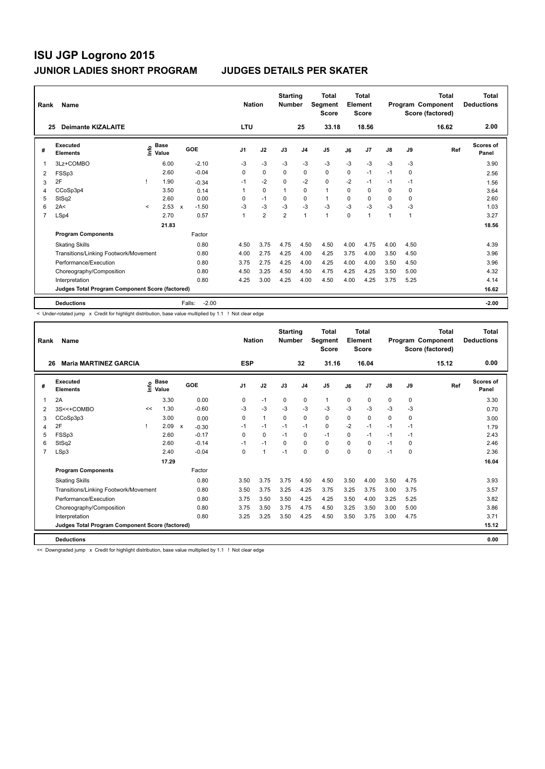| Rank | Name                                            |         |                                             |             |                   | <b>Nation</b>  |                | <b>Starting</b><br><b>Number</b> |                | <b>Total</b><br>Segment<br><b>Score</b> |          | <b>Total</b><br>Element<br><b>Score</b> |              |                | <b>Total</b><br>Program Component<br>Score (factored) | <b>Total</b><br><b>Deductions</b> |
|------|-------------------------------------------------|---------|---------------------------------------------|-------------|-------------------|----------------|----------------|----------------------------------|----------------|-----------------------------------------|----------|-----------------------------------------|--------------|----------------|-------------------------------------------------------|-----------------------------------|
| 25   | <b>Deimante KIZALAITE</b>                       |         |                                             |             |                   | <b>LTU</b>     |                |                                  | 25             | 33.18                                   |          | 18.56                                   |              |                | 16.62                                                 | 2.00                              |
| #    | Executed<br><b>Elements</b>                     |         | <b>Base</b><br>e <sup>Base</sup><br>⊆ Value |             | GOE               | J <sub>1</sub> | J2             | J3                               | J <sub>4</sub> | J <sub>5</sub>                          | J6       | J <sub>7</sub>                          | J8           | J9             | Ref                                                   | <b>Scores of</b><br>Panel         |
| 1    | 3Lz+COMBO                                       |         | 6.00                                        |             | $-2.10$           | -3             | $-3$           | $-3$                             | $-3$           | $-3$                                    | $-3$     | $-3$                                    | $-3$         | -3             |                                                       | 3.90                              |
| 2    | FSSp3                                           |         | 2.60                                        |             | $-0.04$           | $\Omega$       | $\Omega$       | $\Omega$                         | $\Omega$       | 0                                       | $\Omega$ | $-1$                                    | $-1$         | 0              |                                                       | 2.56                              |
| 3    | 2F                                              |         | 1.90                                        |             | $-0.34$           | $-1$           | $-2$           | $\Omega$                         | $-2$           | $\Omega$                                | $-2$     | $-1$                                    | $-1$         | $-1$           |                                                       | 1.56                              |
| 4    | CCoSp3p4                                        |         | 3.50                                        |             | 0.14              |                | 0              | $\overline{1}$                   | 0              | $\mathbf{1}$                            | $\Omega$ | 0                                       | 0            | $\Omega$       |                                                       | 3.64                              |
| 5    | StSq2                                           |         | 2.60                                        |             | 0.00              | 0              | $-1$           | $\Omega$                         | $\mathbf 0$    | $\mathbf{1}$                            | $\Omega$ | 0                                       | 0            | $\Omega$       |                                                       | 2.60                              |
| 6    | 2A<                                             | $\prec$ | 2.53                                        | $\mathbf x$ | $-1.50$           | $-3$           | $-3$           | $-3$                             | $-3$           | $-3$                                    | $-3$     | $-3$                                    | $-3$         | $-3$           |                                                       | 1.03                              |
| 7    | LSp4                                            |         | 2.70                                        |             | 0.57              | 1              | $\overline{2}$ | $\overline{2}$                   | $\mathbf{1}$   | $\mathbf{1}$                            | 0        | $\overline{1}$                          | $\mathbf{1}$ | $\overline{1}$ |                                                       | 3.27                              |
|      |                                                 |         | 21.83                                       |             |                   |                |                |                                  |                |                                         |          |                                         |              |                |                                                       | 18.56                             |
|      | <b>Program Components</b>                       |         |                                             |             | Factor            |                |                |                                  |                |                                         |          |                                         |              |                |                                                       |                                   |
|      | <b>Skating Skills</b>                           |         |                                             |             | 0.80              | 4.50           | 3.75           | 4.75                             | 4.50           | 4.50                                    | 4.00     | 4.75                                    | 4.00         | 4.50           |                                                       | 4.39                              |
|      | Transitions/Linking Footwork/Movement           |         |                                             |             | 0.80              | 4.00           | 2.75           | 4.25                             | 4.00           | 4.25                                    | 3.75     | 4.00                                    | 3.50         | 4.50           |                                                       | 3.96                              |
|      | Performance/Execution                           |         |                                             |             | 0.80              | 3.75           | 2.75           | 4.25                             | 4.00           | 4.25                                    | 4.00     | 4.00                                    | 3.50         | 4.50           |                                                       | 3.96                              |
|      | Choreography/Composition                        |         |                                             |             | 0.80              | 4.50           | 3.25           | 4.50                             | 4.50           | 4.75                                    | 4.25     | 4.25                                    | 3.50         | 5.00           |                                                       | 4.32                              |
|      | Interpretation                                  |         |                                             |             | 0.80              | 4.25           | 3.00           | 4.25                             | 4.00           | 4.50                                    | 4.00     | 4.25                                    | 3.75         | 5.25           |                                                       | 4.14                              |
|      | Judges Total Program Component Score (factored) |         |                                             |             |                   |                |                |                                  |                |                                         |          |                                         |              |                |                                                       | 16.62                             |
|      | <b>Deductions</b>                               |         |                                             |             | $-2.00$<br>Falls: |                |                |                                  |                |                                         |          |                                         |              |                |                                                       | $-2.00$                           |

< Under-rotated jump x Credit for highlight distribution, base value multiplied by 1.1 ! Not clear edge

| Rank | Name                                            |    |                                  |                           |         | <b>Nation</b> |              | <b>Starting</b><br><b>Number</b> |                | Total<br>Segment<br><b>Score</b> |          | <b>Total</b><br>Element<br><b>Score</b> |               |          | <b>Total</b><br>Program Component<br>Score (factored) | <b>Total</b><br><b>Deductions</b> |
|------|-------------------------------------------------|----|----------------------------------|---------------------------|---------|---------------|--------------|----------------------------------|----------------|----------------------------------|----------|-----------------------------------------|---------------|----------|-------------------------------------------------------|-----------------------------------|
| 26   | <b>Maria MARTINEZ GARCIA</b>                    |    |                                  |                           |         | <b>ESP</b>    |              |                                  | 32             | 31.16                            |          | 16.04                                   |               |          | 15.12                                                 | 0.00                              |
| #    | <b>Executed</b><br><b>Elements</b>              |    | <b>Base</b><br>e Base<br>⊆ Value | GOE                       |         | J1            | J2           | J3                               | J <sub>4</sub> | J <sub>5</sub>                   | J6       | J7                                      | $\mathsf{J}8$ | J9       | Ref                                                   | <b>Scores of</b><br>Panel         |
| 1    | 2A                                              |    | 3.30                             |                           | 0.00    | 0             | $-1$         | $\mathbf 0$                      | $\mathbf 0$    | $\mathbf{1}$                     | 0        | 0                                       | 0             | 0        |                                                       | 3.30                              |
| 2    | 3S<<+COMBO                                      | << | 1.30                             |                           | $-0.60$ | -3            | $-3$         | -3                               | $-3$           | $-3$                             | $-3$     | $-3$                                    | $-3$          | -3       |                                                       | 0.70                              |
| 3    | CCoSp3p3                                        |    | 3.00                             |                           | 0.00    | 0             | $\mathbf{1}$ | $\mathbf 0$                      | $\mathbf 0$    | $\mathbf 0$                      | $\Omega$ | $\Omega$                                | $\mathbf 0$   | 0        |                                                       | 3.00                              |
| 4    | 2F                                              |    | 2.09                             | $\boldsymbol{\mathsf{x}}$ | $-0.30$ | $-1$          | $-1$         | $-1$                             | $-1$           | $\mathbf 0$                      | $-2$     | $-1$                                    | $-1$          | $-1$     |                                                       | 1.79                              |
| 5    | FSSp3                                           |    | 2.60                             |                           | $-0.17$ | $\Omega$      | 0            | $-1$                             | 0              | $-1$                             | $\Omega$ | $-1$                                    | $-1$          | $-1$     |                                                       | 2.43                              |
| 6    | StSq2                                           |    | 2.60                             |                           | $-0.14$ | $-1$          | $-1$         | 0                                | $\mathbf 0$    | $\mathbf 0$                      | $\Omega$ | $\Omega$                                | $-1$          | 0        |                                                       | 2.46                              |
| 7    | LSp3                                            |    | 2.40                             |                           | $-0.04$ | $\Omega$      | $\mathbf{1}$ | $-1$                             | $\Omega$       | $\Omega$                         | $\Omega$ | $\Omega$                                | $-1$          | $\Omega$ |                                                       | 2.36                              |
|      |                                                 |    | 17.29                            |                           |         |               |              |                                  |                |                                  |          |                                         |               |          |                                                       | 16.04                             |
|      | <b>Program Components</b>                       |    |                                  |                           | Factor  |               |              |                                  |                |                                  |          |                                         |               |          |                                                       |                                   |
|      | <b>Skating Skills</b>                           |    |                                  |                           | 0.80    | 3.50          | 3.75         | 3.75                             | 4.50           | 4.50                             | 3.50     | 4.00                                    | 3.50          | 4.75     |                                                       | 3.93                              |
|      | Transitions/Linking Footwork/Movement           |    |                                  |                           | 0.80    | 3.50          | 3.75         | 3.25                             | 4.25           | 3.75                             | 3.25     | 3.75                                    | 3.00          | 3.75     |                                                       | 3.57                              |
|      | Performance/Execution                           |    |                                  |                           | 0.80    | 3.75          | 3.50         | 3.50                             | 4.25           | 4.25                             | 3.50     | 4.00                                    | 3.25          | 5.25     |                                                       | 3.82                              |
|      | Choreography/Composition                        |    |                                  |                           | 0.80    | 3.75          | 3.50         | 3.75                             | 4.75           | 4.50                             | 3.25     | 3.50                                    | 3.00          | 5.00     |                                                       | 3.86                              |
|      | Interpretation                                  |    |                                  |                           | 0.80    | 3.25          | 3.25         | 3.50                             | 4.25           | 4.50                             | 3.50     | 3.75                                    | 3.00          | 4.75     |                                                       | 3.71                              |
|      | Judges Total Program Component Score (factored) |    |                                  |                           |         |               |              |                                  |                |                                  |          |                                         |               |          |                                                       | 15.12                             |
|      | <b>Deductions</b>                               |    |                                  |                           |         |               |              |                                  |                |                                  |          |                                         |               |          |                                                       | 0.00                              |

<< Downgraded jump x Credit for highlight distribution, base value multiplied by 1.1 ! Not clear edge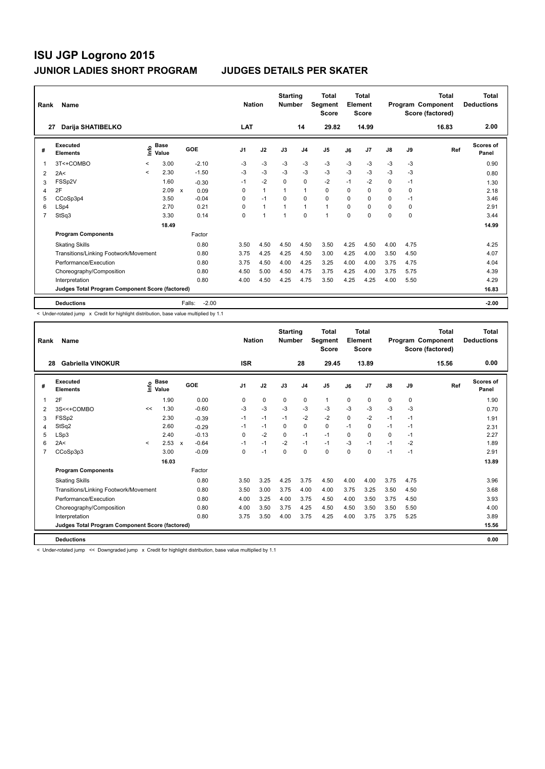| Rank | Name                                            |         |                      |              |         | <b>Nation</b>  |                | <b>Starting</b><br><b>Number</b> |                | <b>Total</b><br>Segment<br><b>Score</b> |          | <b>Total</b><br>Element<br><b>Score</b> |          |      | <b>Total</b><br>Program Component<br>Score (factored) | <b>Total</b><br><b>Deductions</b> |
|------|-------------------------------------------------|---------|----------------------|--------------|---------|----------------|----------------|----------------------------------|----------------|-----------------------------------------|----------|-----------------------------------------|----------|------|-------------------------------------------------------|-----------------------------------|
| 27   | Darija SHATIBELKO                               |         |                      |              |         | LAT            |                |                                  | 14             | 29.82                                   |          | 14.99                                   |          |      | 16.83                                                 | 2.00                              |
| #    | Executed<br><b>Elements</b>                     | ١nfo    | <b>Base</b><br>Value |              | GOE     | J <sub>1</sub> | J2             | J3                               | J <sub>4</sub> | J <sub>5</sub>                          | J6       | J7                                      | J8       | J9   | Ref                                                   | <b>Scores of</b><br>Panel         |
| 1    | 3T<+COMBO                                       | $\prec$ | 3.00                 |              | $-2.10$ | $-3$           | $-3$           | $-3$                             | $-3$           | $-3$                                    | $-3$     | $-3$                                    | $-3$     | $-3$ |                                                       | 0.90                              |
| 2    | 2A<                                             | $\prec$ | 2.30                 |              | $-1.50$ | $-3$           | $-3$           | $-3$                             | $-3$           | $-3$                                    | $-3$     | $-3$                                    | $-3$     | $-3$ |                                                       | 0.80                              |
| 3    | FSSp2V                                          |         | 1.60                 |              | $-0.30$ | $-1$           | $-2$           | $\Omega$                         | $\mathbf 0$    | $-2$                                    | $-1$     | $-2$                                    | 0        | $-1$ |                                                       | 1.30                              |
| 4    | 2F                                              |         | 2.09                 | $\mathsf{x}$ | 0.09    | 0              | $\mathbf{1}$   | $\mathbf{1}$                     | $\mathbf{1}$   | $\Omega$                                | $\Omega$ | $\Omega$                                | $\Omega$ | 0    |                                                       | 2.18                              |
| 5    | CCoSp3p4                                        |         | 3.50                 |              | $-0.04$ | 0              | $-1$           | $\Omega$                         | $\mathbf 0$    | $\mathbf 0$                             | $\Omega$ | 0                                       | 0        | $-1$ |                                                       | 3.46                              |
| 6    | LSp4                                            |         | 2.70                 |              | 0.21    | 0              | $\overline{1}$ | $\mathbf{1}$                     | $\mathbf{1}$   | $\mathbf{1}$                            | $\Omega$ | $\Omega$                                | $\Omega$ | 0    |                                                       | 2.91                              |
| 7    | StSq3                                           |         | 3.30                 |              | 0.14    | 0              | $\overline{1}$ | $\overline{1}$                   | $\mathbf 0$    | $\overline{1}$                          | $\Omega$ | $\Omega$                                | 0        | 0    |                                                       | 3.44                              |
|      |                                                 |         | 18.49                |              |         |                |                |                                  |                |                                         |          |                                         |          |      |                                                       | 14.99                             |
|      | <b>Program Components</b>                       |         |                      |              | Factor  |                |                |                                  |                |                                         |          |                                         |          |      |                                                       |                                   |
|      | <b>Skating Skills</b>                           |         |                      |              | 0.80    | 3.50           | 4.50           | 4.50                             | 4.50           | 3.50                                    | 4.25     | 4.50                                    | 4.00     | 4.75 |                                                       | 4.25                              |
|      | Transitions/Linking Footwork/Movement           |         |                      |              | 0.80    | 3.75           | 4.25           | 4.25                             | 4.50           | 3.00                                    | 4.25     | 4.00                                    | 3.50     | 4.50 |                                                       | 4.07                              |
|      | Performance/Execution                           |         |                      |              | 0.80    | 3.75           | 4.50           | 4.00                             | 4.25           | 3.25                                    | 4.00     | 4.00                                    | 3.75     | 4.75 |                                                       | 4.04                              |
|      | Choreography/Composition                        |         |                      |              | 0.80    | 4.50           | 5.00           | 4.50                             | 4.75           | 3.75                                    | 4.25     | 4.00                                    | 3.75     | 5.75 |                                                       | 4.39                              |
|      | Interpretation                                  |         |                      |              | 0.80    | 4.00           | 4.50           | 4.25                             | 4.75           | 3.50                                    | 4.25     | 4.25                                    | 4.00     | 5.50 |                                                       | 4.29                              |
|      | Judges Total Program Component Score (factored) |         |                      |              |         |                |                |                                  |                |                                         |          |                                         |          |      |                                                       | 16.83                             |
|      | <b>Deductions</b>                               |         |                      | Falls:       | $-2.00$ |                |                |                                  |                |                                         |          |                                         |          |      |                                                       | $-2.00$                           |

< Under-rotated jump x Credit for highlight distribution, base value multiplied by 1.1

| Rank | Name                                            |                          |                                           |              |         |            | <b>Nation</b> | <b>Starting</b><br><b>Number</b> |                | <b>Total</b><br>Segment<br><b>Score</b> |      | <b>Total</b><br>Element<br><b>Score</b> |               |      | <b>Total</b><br>Program Component<br>Score (factored) | <b>Total</b><br><b>Deductions</b> |
|------|-------------------------------------------------|--------------------------|-------------------------------------------|--------------|---------|------------|---------------|----------------------------------|----------------|-----------------------------------------|------|-----------------------------------------|---------------|------|-------------------------------------------------------|-----------------------------------|
| 28   | Gabriella VINOKUR                               |                          |                                           |              |         | <b>ISR</b> |               |                                  | 28             | 29.45                                   |      | 13.89                                   |               |      | 15.56                                                 | 0.00                              |
| #    | Executed<br><b>Elements</b>                     |                          | $\frac{e}{E}$ Base<br>$\frac{e}{E}$ Value |              | GOE     | J1         | J2            | J3                               | J <sub>4</sub> | J5                                      | J6   | J <sub>7</sub>                          | $\mathsf{J}8$ | J9   | Ref                                                   | <b>Scores of</b><br>Panel         |
| 1    | 2F                                              |                          | 1.90                                      |              | 0.00    | 0          | $\mathbf 0$   | $\mathbf 0$                      | $\mathbf 0$    | $\mathbf{1}$                            | 0    | 0                                       | 0             | 0    |                                                       | 1.90                              |
| 2    | 3S<<+COMBO                                      | <<                       | 1.30                                      |              | $-0.60$ | -3         | $-3$          | $-3$                             | $-3$           | $-3$                                    | $-3$ | $-3$                                    | $-3$          | $-3$ |                                                       | 0.70                              |
| 3    | FSSp2                                           |                          | 2.30                                      |              | $-0.39$ | $-1$       | $-1$          | $-1$                             | $-2$           | $-2$                                    | 0    | $-2$                                    | $-1$          | $-1$ |                                                       | 1.91                              |
| 4    | StSq2                                           |                          | 2.60                                      |              | $-0.29$ | $-1$       | $-1$          | $\Omega$                         | $\Omega$       | $\mathbf 0$                             | $-1$ | $\Omega$                                | $-1$          | $-1$ |                                                       | 2.31                              |
| 5    | LSp3                                            |                          | 2.40                                      |              | $-0.13$ | $\Omega$   | $-2$          | $\Omega$                         | $-1$           | $-1$                                    | 0    | 0                                       | 0             | $-1$ |                                                       | 2.27                              |
| 6    | 2A<                                             | $\overline{\phantom{a}}$ | 2.53                                      | $\mathsf{x}$ | $-0.64$ | $-1$       | $-1$          | $-2$                             | $-1$           | $-1$                                    | -3   | $-1$                                    | $-1$          | $-2$ |                                                       | 1.89                              |
| 7    | CCoSp3p3                                        |                          | 3.00                                      |              | $-0.09$ | $\Omega$   | $-1$          | $\Omega$                         | $\Omega$       | $\Omega$                                | 0    | $\Omega$                                | $-1$          | $-1$ |                                                       | 2.91                              |
|      |                                                 |                          | 16.03                                     |              |         |            |               |                                  |                |                                         |      |                                         |               |      |                                                       | 13.89                             |
|      | <b>Program Components</b>                       |                          |                                           |              | Factor  |            |               |                                  |                |                                         |      |                                         |               |      |                                                       |                                   |
|      | <b>Skating Skills</b>                           |                          |                                           |              | 0.80    | 3.50       | 3.25          | 4.25                             | 3.75           | 4.50                                    | 4.00 | 4.00                                    | 3.75          | 4.75 |                                                       | 3.96                              |
|      | Transitions/Linking Footwork/Movement           |                          |                                           |              | 0.80    | 3.50       | 3.00          | 3.75                             | 4.00           | 4.00                                    | 3.75 | 3.25                                    | 3.50          | 4.50 |                                                       | 3.68                              |
|      | Performance/Execution                           |                          |                                           |              | 0.80    | 4.00       | 3.25          | 4.00                             | 3.75           | 4.50                                    | 4.00 | 3.50                                    | 3.75          | 4.50 |                                                       | 3.93                              |
|      | Choreography/Composition                        |                          |                                           |              | 0.80    | 4.00       | 3.50          | 3.75                             | 4.25           | 4.50                                    | 4.50 | 3.50                                    | 3.50          | 5.50 |                                                       | 4.00                              |
|      | Interpretation                                  |                          |                                           |              | 0.80    | 3.75       | 3.50          | 4.00                             | 3.75           | 4.25                                    | 4.00 | 3.75                                    | 3.75          | 5.25 |                                                       | 3.89                              |
|      | Judges Total Program Component Score (factored) |                          |                                           |              |         |            |               |                                  |                |                                         |      |                                         |               |      |                                                       | 15.56                             |
|      | <b>Deductions</b>                               |                          |                                           |              |         |            |               |                                  |                |                                         |      |                                         |               |      |                                                       | 0.00                              |

< Under-rotated jump << Downgraded jump x Credit for highlight distribution, base value multiplied by 1.1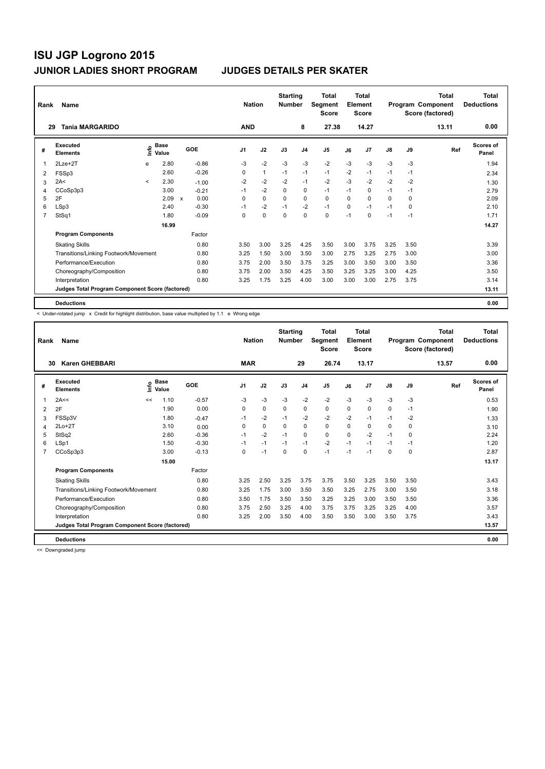| Rank           | Name                                            |                          |                      |              |         | <b>Nation</b>  |              | <b>Starting</b><br><b>Number</b> |                | Total<br>Segment<br><b>Score</b> |          | <b>Total</b><br>Element<br><b>Score</b> |               |      | <b>Total</b><br>Program Component<br>Score (factored) | Total<br><b>Deductions</b> |
|----------------|-------------------------------------------------|--------------------------|----------------------|--------------|---------|----------------|--------------|----------------------------------|----------------|----------------------------------|----------|-----------------------------------------|---------------|------|-------------------------------------------------------|----------------------------|
|                | <b>Tania MARGARIDO</b><br>29                    |                          |                      |              |         | <b>AND</b>     |              |                                  | 8              | 27.38                            |          | 14.27                                   |               |      | 13.11                                                 | 0.00                       |
| #              | <b>Executed</b><br><b>Elements</b>              | ١nfo                     | <b>Base</b><br>Value | GOE          |         | J <sub>1</sub> | J2           | J3                               | J <sub>4</sub> | J <sub>5</sub>                   | J6       | J <sub>7</sub>                          | $\mathsf{J}8$ | J9   | Ref                                                   | <b>Scores of</b><br>Panel  |
|                | $2$ Lze $+2$ T                                  | e                        | 2.80                 |              | $-0.86$ | -3             | $-2$         | $-3$                             | $-3$           | $-2$                             | $-3$     | $-3$                                    | $-3$          | $-3$ |                                                       | 1.94                       |
| 2              | FSSp3                                           |                          | 2.60                 |              | $-0.26$ | 0              | $\mathbf{1}$ | $-1$                             | $-1$           | $-1$                             | $-2$     | $-1$                                    | $-1$          | $-1$ |                                                       | 2.34                       |
| 3              | 2A<                                             | $\overline{\phantom{a}}$ | 2.30                 |              | $-1.00$ | $-2$           | $-2$         | $-2$                             | $-1$           | $-2$                             | $-3$     | $-2$                                    | $-2$          | $-2$ |                                                       | 1.30                       |
| 4              | CCoSp3p3                                        |                          | 3.00                 |              | $-0.21$ | $-1$           | $-2$         | $\Omega$                         | 0              | $-1$                             | $-1$     | 0                                       | $-1$          | $-1$ |                                                       | 2.79                       |
| 5              | 2F                                              |                          | 2.09                 | $\mathbf{x}$ | 0.00    | 0              | $\mathbf 0$  | 0                                | 0              | 0                                | $\Omega$ | 0                                       | 0             | 0    |                                                       | 2.09                       |
| 6              | LSp3                                            |                          | 2.40                 |              | $-0.30$ | $-1$           | $-2$         | $-1$                             | $-2$           | $-1$                             | $\Omega$ | $-1$                                    | $-1$          | 0    |                                                       | 2.10                       |
| $\overline{7}$ | StSq1                                           |                          | 1.80                 |              | $-0.09$ | 0              | $\mathbf 0$  | 0                                | $\Omega$       | 0                                | $-1$     | 0                                       | $-1$          | $-1$ |                                                       | 1.71                       |
|                |                                                 |                          | 16.99                |              |         |                |              |                                  |                |                                  |          |                                         |               |      |                                                       | 14.27                      |
|                | <b>Program Components</b>                       |                          |                      |              | Factor  |                |              |                                  |                |                                  |          |                                         |               |      |                                                       |                            |
|                | <b>Skating Skills</b>                           |                          |                      |              | 0.80    | 3.50           | 3.00         | 3.25                             | 4.25           | 3.50                             | 3.00     | 3.75                                    | 3.25          | 3.50 |                                                       | 3.39                       |
|                | Transitions/Linking Footwork/Movement           |                          |                      |              | 0.80    | 3.25           | 1.50         | 3.00                             | 3.50           | 3.00                             | 2.75     | 3.25                                    | 2.75          | 3.00 |                                                       | 3.00                       |
|                | Performance/Execution                           |                          |                      |              | 0.80    | 3.75           | 2.00         | 3.50                             | 3.75           | 3.25                             | 3.00     | 3.50                                    | 3.00          | 3.50 |                                                       | 3.36                       |
|                | Choreography/Composition                        |                          |                      |              | 0.80    | 3.75           | 2.00         | 3.50                             | 4.25           | 3.50                             | 3.25     | 3.25                                    | 3.00          | 4.25 |                                                       | 3.50                       |
|                | Interpretation                                  |                          |                      |              | 0.80    | 3.25           | 1.75         | 3.25                             | 4.00           | 3.00                             | 3.00     | 3.00                                    | 2.75          | 3.75 |                                                       | 3.14                       |
|                | Judges Total Program Component Score (factored) |                          |                      |              |         |                |              |                                  |                |                                  |          |                                         |               |      |                                                       | 13.11                      |
|                | <b>Deductions</b>                               |                          |                      |              |         |                |              |                                  |                |                                  |          |                                         |               |      |                                                       | 0.00                       |

< Under-rotated jump x Credit for highlight distribution, base value multiplied by 1.1 e Wrong edge

| Rank           | Name<br><b>Karen GHEBBARI</b>                   |               |                      |         | <b>Nation</b>  |             | <b>Starting</b><br><b>Number</b> |                | <b>Total</b><br>Segment<br><b>Score</b> |          | <b>Total</b><br>Element<br><b>Score</b> |               |      | <b>Total</b><br>Program Component<br>Score (factored) | <b>Total</b><br><b>Deductions</b><br>0.00 |
|----------------|-------------------------------------------------|---------------|----------------------|---------|----------------|-------------|----------------------------------|----------------|-----------------------------------------|----------|-----------------------------------------|---------------|------|-------------------------------------------------------|-------------------------------------------|
| 30             |                                                 |               |                      |         | <b>MAR</b>     |             |                                  | 29             | 26.74                                   |          | 13.17                                   |               |      | 13.57                                                 |                                           |
| #              | <b>Executed</b><br><b>Elements</b>              | $\circ$<br>Ĭ. | <b>Base</b><br>Value | GOE     | J <sub>1</sub> | J2          | J3                               | J <sub>4</sub> | J <sub>5</sub>                          | J6       | J7                                      | $\mathsf{J}8$ | J9   | Ref                                                   | <b>Scores of</b><br>Panel                 |
| 1              | 2A<<                                            | <<            | 1.10                 | $-0.57$ | -3             | $-3$        | -3                               | $-2$           | $-2$                                    | $-3$     | $-3$                                    | $-3$          | $-3$ |                                                       | 0.53                                      |
| 2              | 2F                                              |               | 1.90                 | 0.00    | 0              | $\pmb{0}$   | $\Omega$                         | 0              | $\mathbf 0$                             | $\Omega$ | 0                                       | $\mathbf 0$   | $-1$ |                                                       | 1.90                                      |
| 3              | FSSp3V                                          |               | 1.80                 | $-0.47$ | $-1$           | $-2$        | $-1$                             | $-2$           | $-2$                                    | $-2$     | $-1$                                    | $-1$          | $-2$ |                                                       | 1.33                                      |
| 4              | $2Lo+2T$                                        |               | 3.10                 | 0.00    | 0              | $\mathbf 0$ | 0                                | 0              | $\mathbf 0$                             | 0        | 0                                       | 0             | 0    |                                                       | 3.10                                      |
| 5              | StSq2                                           |               | 2.60                 | $-0.36$ | $-1$           | $-2$        | $-1$                             | 0              | $\mathbf 0$                             | $\Omega$ | $-2$                                    | $-1$          | 0    |                                                       | 2.24                                      |
| 6              | LSp1                                            |               | 1.50                 | $-0.30$ | $-1$           | $-1$        | $-1$                             | $-1$           | $-2$                                    | $-1$     | $-1$                                    | $-1$          | $-1$ |                                                       | 1.20                                      |
| $\overline{7}$ | CCoSp3p3                                        |               | 3.00                 | $-0.13$ | 0              | $-1$        | $\mathbf 0$                      | 0              | $-1$                                    | $-1$     | $-1$                                    | $\mathbf 0$   | 0    |                                                       | 2.87                                      |
|                |                                                 |               | 15.00                |         |                |             |                                  |                |                                         |          |                                         |               |      |                                                       | 13.17                                     |
|                | <b>Program Components</b>                       |               |                      | Factor  |                |             |                                  |                |                                         |          |                                         |               |      |                                                       |                                           |
|                | <b>Skating Skills</b>                           |               |                      | 0.80    | 3.25           | 2.50        | 3.25                             | 3.75           | 3.75                                    | 3.50     | 3.25                                    | 3.50          | 3.50 |                                                       | 3.43                                      |
|                | Transitions/Linking Footwork/Movement           |               |                      | 0.80    | 3.25           | 1.75        | 3.00                             | 3.50           | 3.50                                    | 3.25     | 2.75                                    | 3.00          | 3.50 |                                                       | 3.18                                      |
|                | Performance/Execution                           |               |                      | 0.80    | 3.50           | 1.75        | 3.50                             | 3.50           | 3.25                                    | 3.25     | 3.00                                    | 3.50          | 3.50 |                                                       | 3.36                                      |
|                | Choreography/Composition                        |               |                      | 0.80    | 3.75           | 2.50        | 3.25                             | 4.00           | 3.75                                    | 3.75     | 3.25                                    | 3.25          | 4.00 |                                                       | 3.57                                      |
|                | Interpretation                                  |               |                      | 0.80    | 3.25           | 2.00        | 3.50                             | 4.00           | 3.50                                    | 3.50     | 3.00                                    | 3.50          | 3.75 |                                                       | 3.43                                      |
|                | Judges Total Program Component Score (factored) |               |                      |         |                |             |                                  |                |                                         |          |                                         |               |      |                                                       | 13.57                                     |
|                | <b>Deductions</b>                               |               |                      |         |                |             |                                  |                |                                         |          |                                         |               |      |                                                       | 0.00                                      |

<< Downgraded jump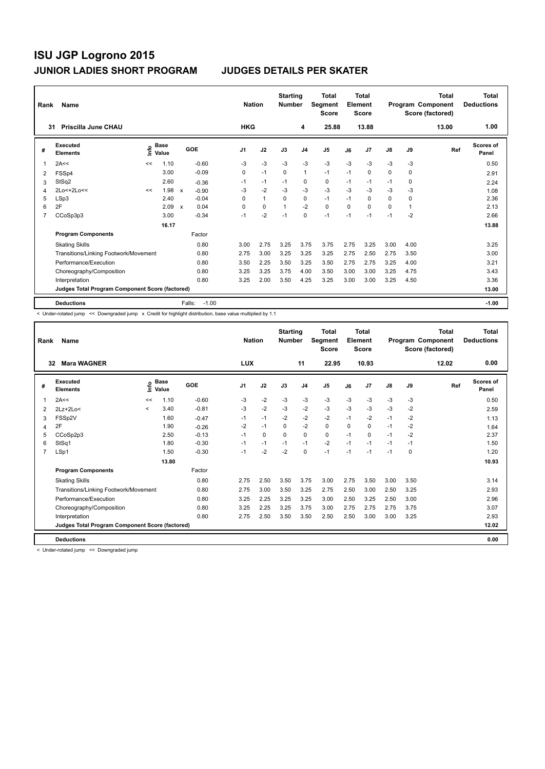| Rank           | Name                                            |      |                      |                           |                   | <b>Nation</b>  |                | <b>Starting</b><br><b>Number</b> |                | <b>Total</b><br>Segment<br><b>Score</b> |          | <b>Total</b><br>Element<br><b>Score</b> |      |      | <b>Total</b><br>Program Component<br>Score (factored) | <b>Total</b><br><b>Deductions</b> |
|----------------|-------------------------------------------------|------|----------------------|---------------------------|-------------------|----------------|----------------|----------------------------------|----------------|-----------------------------------------|----------|-----------------------------------------|------|------|-------------------------------------------------------|-----------------------------------|
| 31             | Priscilla June CHAU                             |      |                      |                           |                   | <b>HKG</b>     |                |                                  | 4              | 25.88                                   |          | 13.88                                   |      |      | 13.00                                                 | 1.00                              |
| #              | Executed<br><b>Elements</b>                     | lnfo | <b>Base</b><br>Value |                           | GOE               | J <sub>1</sub> | J2             | J3                               | J <sub>4</sub> | J <sub>5</sub>                          | J6       | J7                                      | J8   | J9   | Ref                                                   | Scores of<br>Panel                |
| 1              | 2A<<                                            | <<   | 1.10                 |                           | $-0.60$           | -3             | $-3$           | $-3$                             | $-3$           | $-3$                                    | $-3$     | $-3$                                    | $-3$ | $-3$ |                                                       | 0.50                              |
| 2              | FSSp4                                           |      | 3.00                 |                           | $-0.09$           | 0              | $-1$           | $\Omega$                         | $\mathbf{1}$   | $-1$                                    | $-1$     | 0                                       | 0    | 0    |                                                       | 2.91                              |
| 3              | StSq2                                           |      | 2.60                 |                           | $-0.36$           | $-1$           | -1             | $-1$                             | 0              | 0                                       | $-1$     | $-1$                                    | $-1$ | 0    |                                                       | 2.24                              |
| 4              | 2Lo<+2Lo<<                                      | <<   | 1.98                 | $\boldsymbol{\mathsf{x}}$ | $-0.90$           | $-3$           | $-2$           | $-3$                             | $-3$           | $-3$                                    | $-3$     | $-3$                                    | $-3$ | $-3$ |                                                       | 1.08                              |
| 5              | LSp3                                            |      | 2.40                 |                           | $-0.04$           | 0              | $\overline{1}$ | $\Omega$                         | $\mathbf 0$    | $-1$                                    | $-1$     | $\Omega$                                | 0    | 0    |                                                       | 2.36                              |
| 6              | 2F                                              |      | 2.09                 | X                         | 0.04              | 0              | $\mathbf 0$    | $\overline{1}$                   | $-2$           | $\mathbf 0$                             | $\Omega$ | $\Omega$                                | 0    |      |                                                       | 2.13                              |
| $\overline{7}$ | CCoSp3p3                                        |      | 3.00                 |                           | $-0.34$           | $-1$           | $-2$           | $-1$                             | $\mathbf 0$    | $-1$                                    | $-1$     | $-1$                                    | $-1$ | $-2$ |                                                       | 2.66                              |
|                |                                                 |      | 16.17                |                           |                   |                |                |                                  |                |                                         |          |                                         |      |      |                                                       | 13.88                             |
|                | <b>Program Components</b>                       |      |                      |                           | Factor            |                |                |                                  |                |                                         |          |                                         |      |      |                                                       |                                   |
|                | <b>Skating Skills</b>                           |      |                      |                           | 0.80              | 3.00           | 2.75           | 3.25                             | 3.75           | 3.75                                    | 2.75     | 3.25                                    | 3.00 | 4.00 |                                                       | 3.25                              |
|                | Transitions/Linking Footwork/Movement           |      |                      |                           | 0.80              | 2.75           | 3.00           | 3.25                             | 3.25           | 3.25                                    | 2.75     | 2.50                                    | 2.75 | 3.50 |                                                       | 3.00                              |
|                | Performance/Execution                           |      |                      |                           | 0.80              | 3.50           | 2.25           | 3.50                             | 3.25           | 3.50                                    | 2.75     | 2.75                                    | 3.25 | 4.00 |                                                       | 3.21                              |
|                | Choreography/Composition                        |      |                      |                           | 0.80              | 3.25           | 3.25           | 3.75                             | 4.00           | 3.50                                    | 3.00     | 3.00                                    | 3.25 | 4.75 |                                                       | 3.43                              |
|                | Interpretation                                  |      |                      |                           | 0.80              | 3.25           | 2.00           | 3.50                             | 4.25           | 3.25                                    | 3.00     | 3.00                                    | 3.25 | 4.50 |                                                       | 3.36                              |
|                | Judges Total Program Component Score (factored) |      |                      |                           |                   |                |                |                                  |                |                                         |          |                                         |      |      |                                                       | 13.00                             |
|                | <b>Deductions</b>                               |      |                      |                           | Falls:<br>$-1.00$ |                |                |                                  |                |                                         |          |                                         |      |      |                                                       | $-1.00$                           |

< Under-rotated jump << Downgraded jump x Credit for highlight distribution, base value multiplied by 1.1

| Rank | Name                                            |              |                      |         | <b>Nation</b> |          | <b>Starting</b><br><b>Number</b> |                | <b>Total</b><br>Segment<br><b>Score</b> |      | <b>Total</b><br>Element<br><b>Score</b> |               |          | <b>Total</b><br>Program Component<br>Score (factored) | <b>Total</b><br><b>Deductions</b> |
|------|-------------------------------------------------|--------------|----------------------|---------|---------------|----------|----------------------------------|----------------|-----------------------------------------|------|-----------------------------------------|---------------|----------|-------------------------------------------------------|-----------------------------------|
| 32   | <b>Mara WAGNER</b>                              |              |                      |         | <b>LUX</b>    |          |                                  | 11             | 22.95                                   |      | 10.93                                   |               |          | 12.02                                                 | 0.00                              |
| #    | <b>Executed</b><br><b>Elements</b>              | ۴٥           | <b>Base</b><br>Value | GOE     | J1            | J2       | J3                               | J <sub>4</sub> | J <sub>5</sub>                          | J6   | J <sub>7</sub>                          | $\mathsf{J}8$ | J9       | Ref                                                   | <b>Scores of</b><br>Panel         |
|      | 2A<<                                            | <<           | 1.10                 | $-0.60$ | $-3$          | $-2$     | $-3$                             | $-3$           | $-3$                                    | $-3$ | $-3$                                    | $-3$          | $-3$     |                                                       | 0.50                              |
| 2    | $2Lz+2Lo<$                                      | $\checkmark$ | 3.40                 | $-0.81$ | $-3$          | $-2$     | $-3$                             | $-2$           | $-3$                                    | $-3$ | $-3$                                    | $-3$          | $-2$     |                                                       | 2.59                              |
| 3    | FSSp2V                                          |              | 1.60                 | $-0.47$ | $-1$          | $-1$     | $-2$                             | $-2$           | $-2$                                    | $-1$ | $-2$                                    | $-1$          | $-2$     |                                                       | 1.13                              |
| 4    | 2F                                              |              | 1.90                 | $-0.26$ | $-2$          | $-1$     | $\mathbf 0$                      | $-2$           | 0                                       | 0    | 0                                       | $-1$          | $-2$     |                                                       | 1.64                              |
| 5    | CCoSp2p3                                        |              | 2.50                 | $-0.13$ | $-1$          | $\Omega$ | $\Omega$                         | 0              | 0                                       | $-1$ | 0                                       | $-1$          | $-2$     |                                                       | 2.37                              |
| 6    | StSq1                                           |              | 1.80                 | $-0.30$ | $-1$          | $-1$     | $-1$                             | $-1$           | $-2$                                    | $-1$ | $-1$                                    | $-1$          | $-1$     |                                                       | 1.50                              |
| 7    | LSp1                                            |              | 1.50                 | $-0.30$ | $-1$          | $-2$     | $-2$                             | 0              | $-1$                                    | $-1$ | $-1$                                    | $-1$          | $\Omega$ |                                                       | 1.20                              |
|      |                                                 |              | 13.80                |         |               |          |                                  |                |                                         |      |                                         |               |          |                                                       | 10.93                             |
|      | <b>Program Components</b>                       |              |                      | Factor  |               |          |                                  |                |                                         |      |                                         |               |          |                                                       |                                   |
|      | <b>Skating Skills</b>                           |              |                      | 0.80    | 2.75          | 2.50     | 3.50                             | 3.75           | 3.00                                    | 2.75 | 3.50                                    | 3.00          | 3.50     |                                                       | 3.14                              |
|      | Transitions/Linking Footwork/Movement           |              |                      | 0.80    | 2.75          | 3.00     | 3.50                             | 3.25           | 2.75                                    | 2.50 | 3.00                                    | 2.50          | 3.25     |                                                       | 2.93                              |
|      | Performance/Execution                           |              |                      | 0.80    | 3.25          | 2.25     | 3.25                             | 3.25           | 3.00                                    | 2.50 | 3.25                                    | 2.50          | 3.00     |                                                       | 2.96                              |
|      | Choreography/Composition                        |              |                      | 0.80    | 3.25          | 2.25     | 3.25                             | 3.75           | 3.00                                    | 2.75 | 2.75                                    | 2.75          | 3.75     |                                                       | 3.07                              |
|      | Interpretation                                  |              |                      | 0.80    | 2.75          | 2.50     | 3.50                             | 3.50           | 2.50                                    | 2.50 | 3.00                                    | 3.00          | 3.25     |                                                       | 2.93                              |
|      | Judges Total Program Component Score (factored) |              |                      |         |               |          |                                  |                |                                         |      |                                         |               |          |                                                       | 12.02                             |
|      | <b>Deductions</b>                               |              |                      |         |               |          |                                  |                |                                         |      |                                         |               |          |                                                       | 0.00                              |

< Under-rotated jump << Downgraded jump